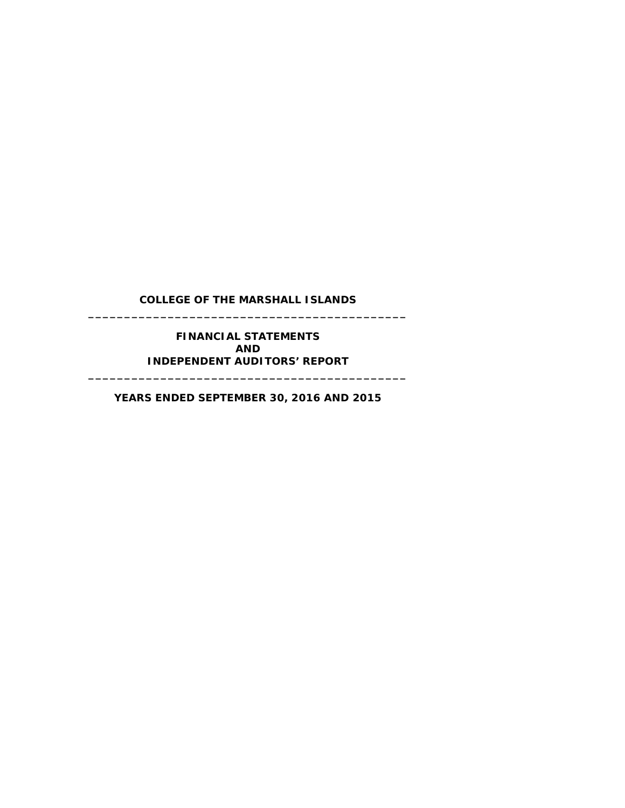**COLLEGE OF THE MARSHALL ISLANDS \_\_\_\_\_\_\_\_\_\_\_\_\_\_\_\_\_\_\_\_\_\_\_\_\_\_\_\_\_\_\_\_\_\_\_\_\_\_\_\_\_\_\_\_**

> **FINANCIAL STATEMENTS AND INDEPENDENT AUDITORS' REPORT**

**YEARS ENDED SEPTEMBER 30, 2016 AND 2015**

**\_\_\_\_\_\_\_\_\_\_\_\_\_\_\_\_\_\_\_\_\_\_\_\_\_\_\_\_\_\_\_\_\_\_\_\_\_\_\_\_\_\_\_\_**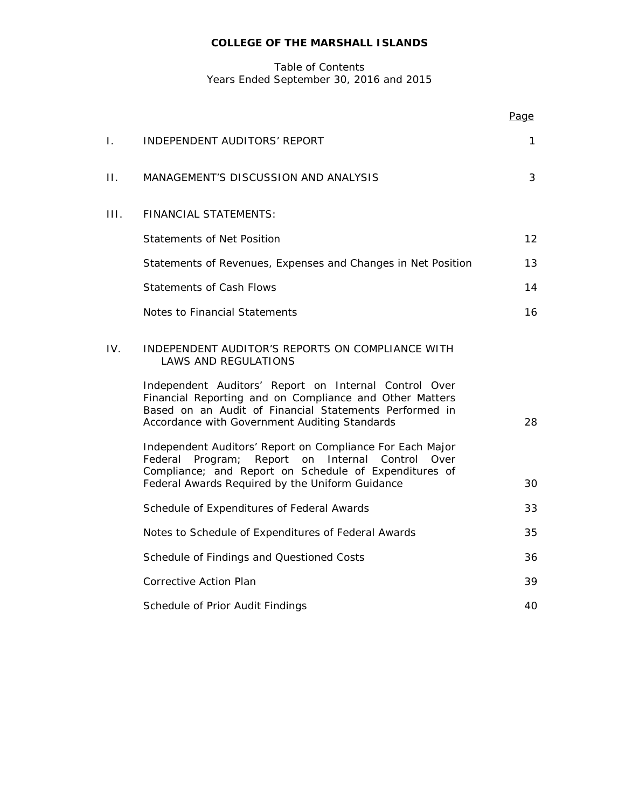# Table of Contents Years Ended September 30, 2016 and 2015

|      |                                                                                                                                                                                                                                             | Page |
|------|---------------------------------------------------------------------------------------------------------------------------------------------------------------------------------------------------------------------------------------------|------|
| I.   | INDEPENDENT AUDITORS' REPORT                                                                                                                                                                                                                | 1    |
| Н.   | MANAGEMENT'S DISCUSSION AND ANALYSIS                                                                                                                                                                                                        | 3    |
| III. | <b>FINANCIAL STATEMENTS:</b>                                                                                                                                                                                                                |      |
|      | <b>Statements of Net Position</b>                                                                                                                                                                                                           | 12   |
|      | Statements of Revenues, Expenses and Changes in Net Position                                                                                                                                                                                | 13   |
|      | <b>Statements of Cash Flows</b>                                                                                                                                                                                                             | 14   |
|      | Notes to Financial Statements                                                                                                                                                                                                               | 16   |
| IV.  | INDEPENDENT AUDITOR'S REPORTS ON COMPLIANCE WITH<br><b>LAWS AND REGULATIONS</b>                                                                                                                                                             |      |
|      | Independent Auditors' Report on Internal Control Over<br>Financial Reporting and on Compliance and Other Matters<br>Based on an Audit of Financial Statements Performed in<br>Accordance with Government Auditing Standards                 | 28   |
|      | Independent Auditors' Report on Compliance For Each Major<br>Report<br>Internal<br>Federal<br>Program;<br>on<br>Control<br>Over<br>Compliance; and Report on Schedule of Expenditures of<br>Federal Awards Required by the Uniform Guidance | 30   |
|      | Schedule of Expenditures of Federal Awards                                                                                                                                                                                                  | 33   |
|      | Notes to Schedule of Expenditures of Federal Awards                                                                                                                                                                                         | 35   |
|      | Schedule of Findings and Questioned Costs                                                                                                                                                                                                   | 36   |
|      | <b>Corrective Action Plan</b>                                                                                                                                                                                                               | 39   |
|      | Schedule of Prior Audit Findings                                                                                                                                                                                                            | 40   |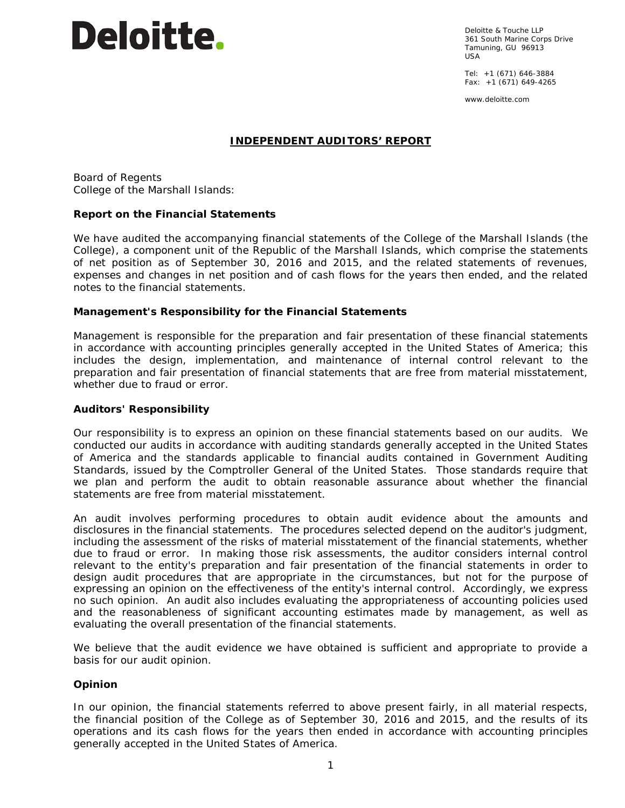# **Deloitte**.

Deloitte & Touche LLP 361 South Marine Corps Drive Tamuning, GU 96913 USA

Tel: +1 (671) 646-3884 Fax: +1 (671) 649-4265

www.deloitte.com

# **INDEPENDENT AUDITORS' REPORT**

Board of Regents College of the Marshall Islands:

# **Report on the Financial Statements**

We have audited the accompanying financial statements of the College of the Marshall Islands (the College), a component unit of the Republic of the Marshall Islands, which comprise the statements of net position as of September 30, 2016 and 2015, and the related statements of revenues, expenses and changes in net position and of cash flows for the years then ended, and the related notes to the financial statements.

# *Management's Responsibility for the Financial Statements*

Management is responsible for the preparation and fair presentation of these financial statements in accordance with accounting principles generally accepted in the United States of America; this includes the design, implementation, and maintenance of internal control relevant to the preparation and fair presentation of financial statements that are free from material misstatement, whether due to fraud or error.

#### *Auditors' Responsibility*

Our responsibility is to express an opinion on these financial statements based on our audits. We conducted our audits in accordance with auditing standards generally accepted in the United States of America and the standards applicable to financial audits contained in *Government Auditing Standards,* issued by the Comptroller General of the United States. Those standards require that we plan and perform the audit to obtain reasonable assurance about whether the financial statements are free from material misstatement.

An audit involves performing procedures to obtain audit evidence about the amounts and disclosures in the financial statements. The procedures selected depend on the auditor's judgment, including the assessment of the risks of material misstatement of the financial statements, whether due to fraud or error. In making those risk assessments, the auditor considers internal control relevant to the entity's preparation and fair presentation of the financial statements in order to design audit procedures that are appropriate in the circumstances, but not for the purpose of expressing an opinion on the effectiveness of the entity's internal control. Accordingly, we express no such opinion. An audit also includes evaluating the appropriateness of accounting policies used and the reasonableness of significant accounting estimates made by management, as well as evaluating the overall presentation of the financial statements.

We believe that the audit evidence we have obtained is sufficient and appropriate to provide a basis for our audit opinion.

#### *Opinion*

In our opinion, the financial statements referred to above present fairly, in all material respects, the financial position of the College as of September 30, 2016 and 2015, and the results of its operations and its cash flows for the years then ended in accordance with accounting principles generally accepted in the United States of America.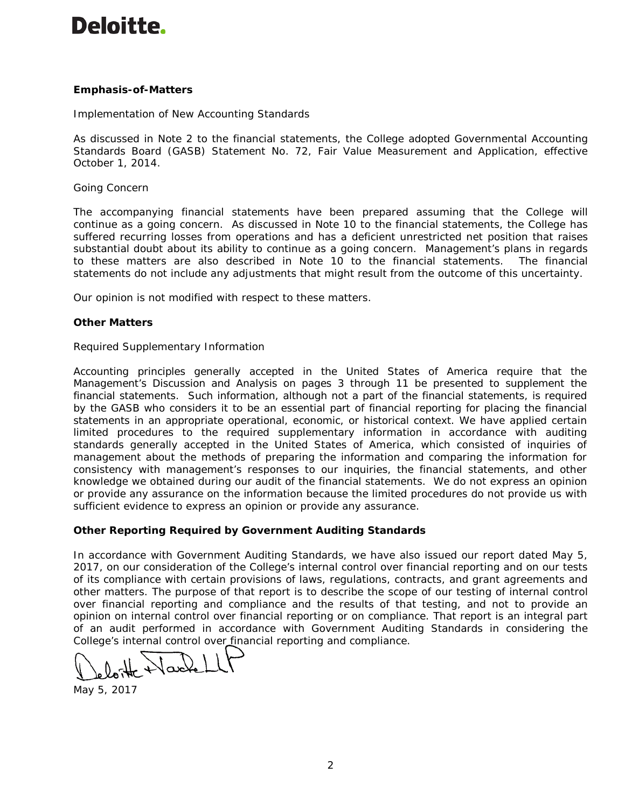# Deloitte.

# *Emphasis-of-Matters*

# *Implementation of New Accounting Standards*

As discussed in Note 2 to the financial statements, the College adopted Governmental Accounting Standards Board (GASB) Statement No. 72, *Fair Value Measurement and Application*, effective October 1, 2014.

# *Going Concern*

The accompanying financial statements have been prepared assuming that the College will continue as a going concern. As discussed in Note 10 to the financial statements, the College has suffered recurring losses from operations and has a deficient unrestricted net position that raises substantial doubt about its ability to continue as a going concern. Management's plans in regards to these matters are also described in Note 10 to the financial statements. The financial statements do not include any adjustments that might result from the outcome of this uncertainty.

Our opinion is not modified with respect to these matters.

# *Other Matters*

# *Required Supplementary Information*

Accounting principles generally accepted in the United States of America require that the Management's Discussion and Analysis on pages 3 through 11 be presented to supplement the financial statements. Such information, although not a part of the financial statements, is required by the GASB who considers it to be an essential part of financial reporting for placing the financial statements in an appropriate operational, economic, or historical context. We have applied certain limited procedures to the required supplementary information in accordance with auditing standards generally accepted in the United States of America, which consisted of inquiries of management about the methods of preparing the information and comparing the information for consistency with management's responses to our inquiries, the financial statements, and other knowledge we obtained during our audit of the financial statements. We do not express an opinion or provide any assurance on the information because the limited procedures do not provide us with sufficient evidence to express an opinion or provide any assurance.

# **Other Reporting Required by** *Government Auditing Standards*

In accordance with *Government Auditing Standards*, we have also issued our report dated May 5, 2017, on our consideration of the College's internal control over financial reporting and on our tests of its compliance with certain provisions of laws, regulations, contracts, and grant agreements and other matters. The purpose of that report is to describe the scope of our testing of internal control over financial reporting and compliance and the results of that testing, and not to provide an opinion on internal control over financial reporting or on compliance. That report is an integral part of an audit performed in accordance with *Government Auditing Standards* in considering the College's internal control over financial reporting and compliance.

May 5, 2017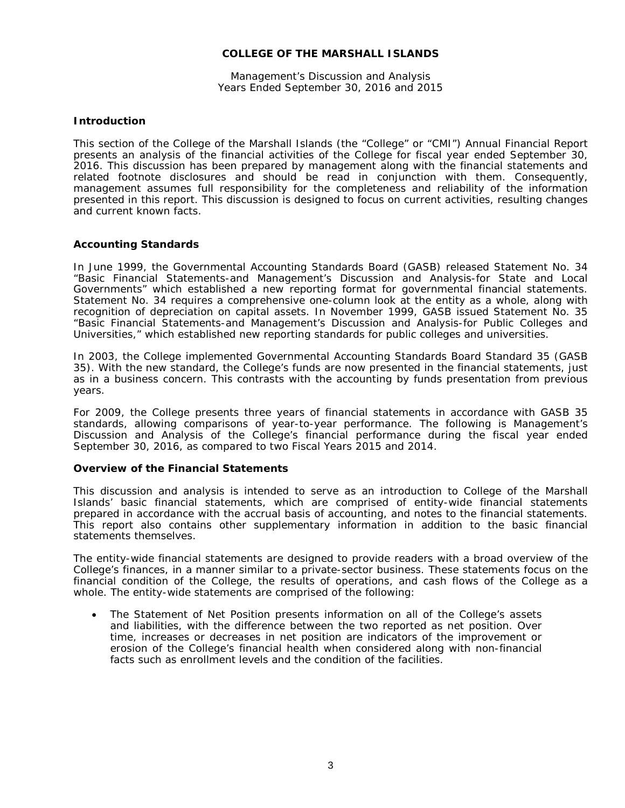Management's Discussion and Analysis Years Ended September 30, 2016 and 2015

# *Introduction*

This section of the College of the Marshall Islands (the "College" or "CMI") Annual Financial Report presents an analysis of the financial activities of the College for fiscal year ended September 30, 2016. This discussion has been prepared by management along with the financial statements and related footnote disclosures and should be read in conjunction with them. Consequently, management assumes full responsibility for the completeness and reliability of the information presented in this report. This discussion is designed to focus on current activities, resulting changes and current known facts.

# *Accounting Standards*

In June 1999, the Governmental Accounting Standards Board (GASB) released Statement No. 34 "*Basic Financial Statements-and Management's Discussion and Analysis-for State and Local Governments*" which established a new reporting format for governmental financial statements. Statement No. 34 requires a comprehensive one-column look at the entity as a whole, along with recognition of depreciation on capital assets. In November 1999, GASB issued Statement No. 35 "*Basic Financial Statements-and Management's Discussion and Analysis-for Public Colleges and Universities*," which established new reporting standards for public colleges and universities.

In 2003, the College implemented Governmental Accounting Standards Board Standard 35 (GASB 35). With the new standard, the College's funds are now presented in the financial statements, just as in a business concern. This contrasts with the accounting by funds presentation from previous years.

For 2009, the College presents three years of financial statements in accordance with GASB 35 standards, allowing comparisons of year-to-year performance. The following is Management's Discussion and Analysis of the College's financial performance during the fiscal year ended September 30, 2016, as compared to two Fiscal Years 2015 and 2014.

#### *Overview of the Financial Statements*

This discussion and analysis is intended to serve as an introduction to College of the Marshall Islands' basic financial statements, which are comprised of entity-wide financial statements prepared in accordance with the accrual basis of accounting, and notes to the financial statements. This report also contains other supplementary information in addition to the basic financial statements themselves.

The entity-wide financial statements are designed to provide readers with a broad overview of the College's finances, in a manner similar to a private-sector business. These statements focus on the financial condition of the College, the results of operations, and cash flows of the College as a whole. The entity-wide statements are comprised of the following:

• The *Statement of Net Position* presents information on all of the College's assets and liabilities, with the difference between the two reported as *net position*. Over time, increases or decreases in net position are indicators of the improvement or erosion of the College's financial health when considered along with non-financial facts such as enrollment levels and the condition of the facilities.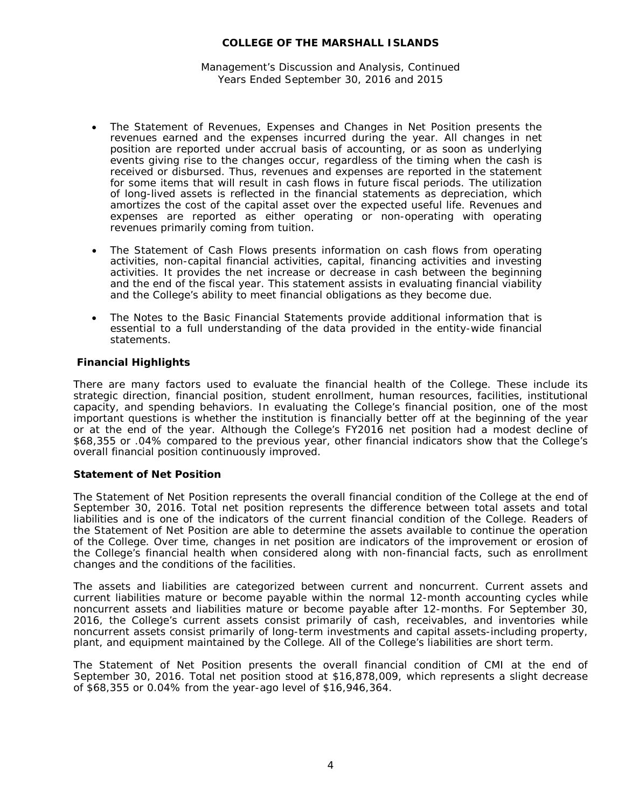#### Management's Discussion and Analysis, Continued Years Ended September 30, 2016 and 2015

- The *Statement of Revenues, Expenses and Changes in Net Position* presents the revenues earned and the expenses incurred during the year. All changes in net position are reported under accrual basis of accounting, or as soon as underlying events giving rise to the changes occur, regardless of the timing when the cash is received or disbursed. Thus, revenues and expenses are reported in the statement for some items that will result in cash flows in future fiscal periods. The utilization of long-lived assets is reflected in the financial statements as depreciation, which amortizes the cost of the capital asset over the expected useful life. Revenues and expenses are reported as either operating or non-operating with operating revenues primarily coming from tuition.
- The *Statement of Cash Flows* presents information on cash flows from operating activities, non-capital financial activities, capital, financing activities and investing activities. It provides the net increase or decrease in cash between the beginning and the end of the fiscal year. This statement assists in evaluating financial viability and the College's ability to meet financial obligations as they become due.
- The Notes to the Basic Financial Statements provide additional information that is essential to a full understanding of the data provided in the entity-wide financial statements.

# *Financial Highlights*

There are many factors used to evaluate the financial health of the College. These include its strategic direction, financial position, student enrollment, human resources, facilities, institutional capacity, and spending behaviors. In evaluating the College's financial position, one of the most important questions is whether the institution is financially better off at the beginning of the year or at the end of the year. Although the College's FY2016 net position had a modest decline of \$68,355 or .04% compared to the previous year, other financial indicators show that the College's overall financial position continuously improved.

#### *Statement of Net Position*

The Statement of Net Position represents the overall financial condition of the College at the end of September 30, 2016. Total net position represents the difference between total assets and total liabilities and is one of the indicators of the current financial condition of the College. Readers of the Statement of Net Position are able to determine the assets available to continue the operation of the College. Over time, changes in net position are indicators of the improvement or erosion of the College's financial health when considered along with non-financial facts, such as enrollment changes and the conditions of the facilities.

The assets and liabilities are categorized between current and noncurrent. Current assets and current liabilities mature or become payable within the normal 12-month accounting cycles while noncurrent assets and liabilities mature or become payable after 12-months. For September 30, 2016, the College's current assets consist primarily of cash, receivables, and inventories while noncurrent assets consist primarily of long-term investments and capital assets-including property, plant, and equipment maintained by the College. All of the College's liabilities are short term.

The Statement of Net Position presents the overall financial condition of CMI at the end of September 30, 2016. Total net position stood at \$16,878,009, which represents a slight decrease of \$68,355 or 0.04% from the year-ago level of \$16,946,364.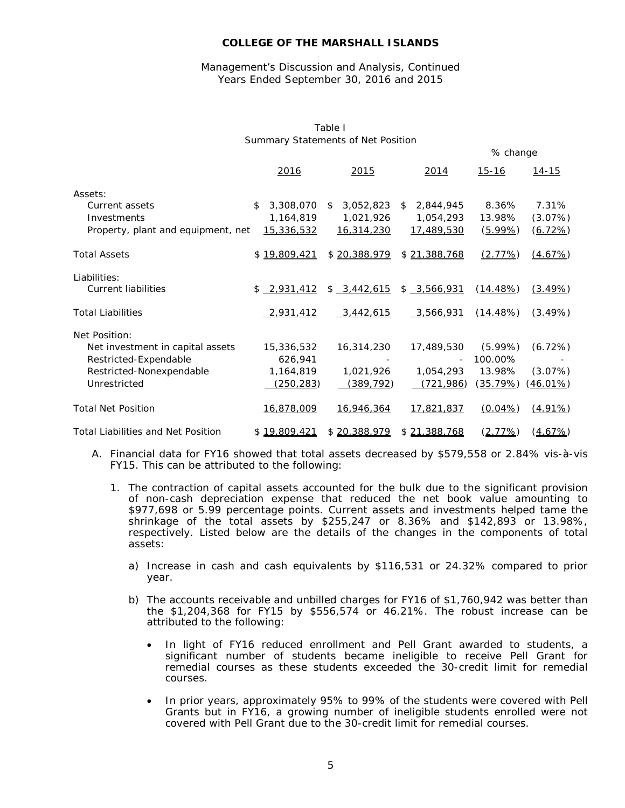Management's Discussion and Analysis, Continued Years Ended September 30, 2016 and 2015

| Table I                            |  |
|------------------------------------|--|
| Summary Statements of Net Position |  |

% change

|                                           | 2016             | 2015                        | 2014                        | $15 - 16$       | 14-15      |
|-------------------------------------------|------------------|-----------------------------|-----------------------------|-----------------|------------|
| Assets:                                   |                  |                             |                             |                 |            |
| Current assets                            | \$<br>3,308,070  | 3,052,823<br>$\mathfrak{L}$ | 2,844,945<br>$\mathfrak{L}$ | 8.36%           | 7.31%      |
| Investments                               | 1,164,819        | 1,021,926                   | 1,054,293                   | 13.98%          | (3.07%)    |
| Property, plant and equipment, net        | 15,336,532       | <u>16,314,230</u>           | 17,489,530                  | $(5.99\%)$      | $(6.72\%)$ |
| <b>Total Assets</b>                       | \$19,809,421     | \$20,388,979                | \$21,388,768                | $(2.77\%)$      | (4.67%)    |
| Liabilities:                              |                  |                             |                             |                 |            |
| <b>Current liabilities</b>                | \$2,931,412      | \$3,442,615                 | \$3,566,931                 | (14.48%)        | $(3.49\%)$ |
| <b>Total Liabilities</b>                  | 2,931,412        | 3,442,615                   | 3,566,931                   | (14.48%)        | $(3.49\%)$ |
| Net Position:                             |                  |                             |                             |                 |            |
| Net investment in capital assets          | 15,336,532       | 16,314,230                  | 17,489,530                  | $(5.99\%)$      | (6.72%)    |
| Restricted-Expendable                     | 626,941          |                             |                             | 100.00%         |            |
| Restricted-Nonexpendable                  | 1,164,819        | 1,021,926                   | 1,054,293                   | 13.98%          | (3.07%)    |
| Unrestricted                              | <u>(250,283)</u> | (389,792)                   | (721,986)                   | <u>(35.79%)</u> | (46.01%)   |
| <b>Total Net Position</b>                 | 16,878,009       | 16,946,364                  | <u>17,821,837</u>           | $(0.04\%)$      | $(4.91\%)$ |
| <b>Total Liabilities and Net Position</b> | \$19,809,421     | \$20,388,979                | <u>\$21,388,768</u>         | $(2.77\%)$      | (4.67%)    |

- A. Financial data for FY16 showed that total assets decreased by \$579,558 or 2.84% vis-à-vis FY15. This can be attributed to the following:
	- 1. The contraction of capital assets accounted for the bulk due to the significant provision of non-cash depreciation expense that reduced the net book value amounting to \$977,698 or 5.99 percentage points. Current assets and investments helped tame the shrinkage of the total assets by \$255,247 or 8.36% and \$142,893 or 13.98%, respectively. Listed below are the details of the changes in the components of total assets:
		- a) Increase in cash and cash equivalents by \$116,531 or 24.32% compared to prior year.
		- b) The accounts receivable and unbilled charges for FY16 of \$1,760,942 was better than the \$1,204,368 for FY15 by \$556,574 or 46.21%. The robust increase can be attributed to the following:
			- In light of FY16 reduced enrollment and Pell Grant awarded to students, a significant number of students became ineligible to receive Pell Grant for remedial courses as these students exceeded the 30-credit limit for remedial courses.
			- In prior years, approximately 95% to 99% of the students were covered with Pell Grants but in FY16, a growing number of ineligible students enrolled were not covered with Pell Grant due to the 30-credit limit for remedial courses.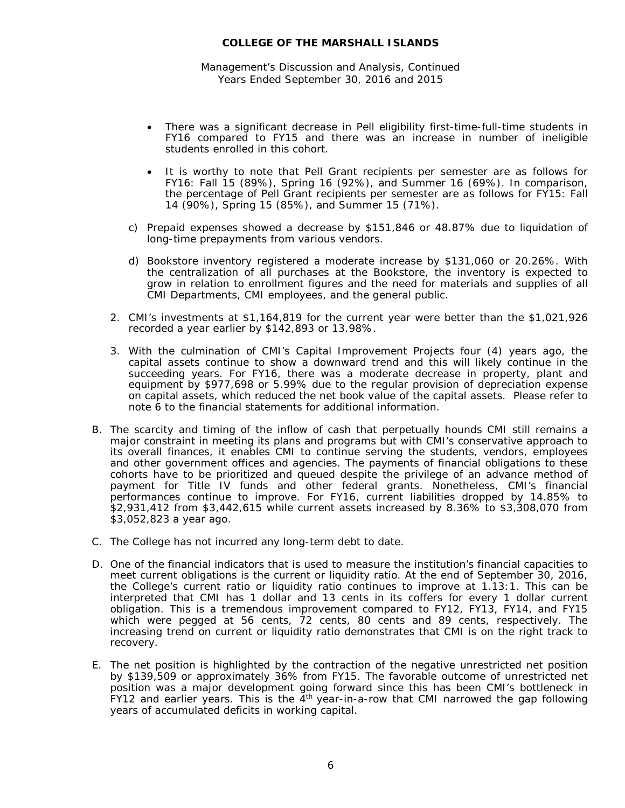Management's Discussion and Analysis, Continued Years Ended September 30, 2016 and 2015

- There was a significant decrease in Pell eligibility first-time-full-time students in FY16 compared to FY15 and there was an increase in number of ineligible students enrolled in this cohort.
- It is worthy to note that Pell Grant recipients per semester are as follows for FY16: Fall 15 (89%), Spring 16 (92%), and Summer 16 (69%). In comparison, the percentage of Pell Grant recipients per semester are as follows for FY15: Fall 14 (90%), Spring 15 (85%), and Summer 15 (71%).
- c) Prepaid expenses showed a decrease by \$151,846 or 48.87% due to liquidation of long-time prepayments from various vendors.
- d) Bookstore inventory registered a moderate increase by \$131,060 or 20.26%. With the centralization of all purchases at the Bookstore, the inventory is expected to grow in relation to enrollment figures and the need for materials and supplies of all CMI Departments, CMI employees, and the general public.
- 2. CMI's investments at \$1,164,819 for the current year were better than the \$1,021,926 recorded a year earlier by \$142,893 or 13.98%.
- 3. With the culmination of CMI's Capital Improvement Projects four (4) years ago, the capital assets continue to show a downward trend and this will likely continue in the succeeding years. For FY16, there was a moderate decrease in property, plant and equipment by \$977,698 or 5.99% due to the regular provision of depreciation expense on capital assets, which reduced the net book value of the capital assets. Please refer to note 6 to the financial statements for additional information.
- B. The scarcity and timing of the inflow of cash that perpetually hounds CMI still remains a major constraint in meeting its plans and programs but with CMI's conservative approach to its overall finances, it enables CMI to continue serving the students, vendors, employees and other government offices and agencies. The payments of financial obligations to these cohorts have to be prioritized and queued despite the privilege of an advance method of payment for Title IV funds and other federal grants. Nonetheless, CMI's financial performances continue to improve. For FY16, current liabilities dropped by 14.85% to \$2,931,412 from \$3,442,615 while current assets increased by 8.36% to \$3,308,070 from \$3,052,823 a year ago.
- C. The College has not incurred any long-term debt to date.
- D. One of the financial indicators that is used to measure the institution's financial capacities to meet current obligations is the current or liquidity ratio. At the end of September 30, 2016, the College's current ratio or liquidity ratio continues to improve at 1.13:1. This can be interpreted that CMI has 1 dollar and 13 cents in its coffers for every 1 dollar current obligation. This is a tremendous improvement compared to FY12, FY13, FY14, and FY15 which were pegged at 56 cents, 72 cents, 80 cents and 89 cents, respectively. The increasing trend on current or liquidity ratio demonstrates that CMI is on the right track to recovery.
- E. The net position is highlighted by the contraction of the negative unrestricted net position by \$139,509 or approximately 36% from FY15. The favorable outcome of unrestricted net position was a major development going forward since this has been CMI's bottleneck in FY12 and earlier years. This is the  $\overline{4}$ <sup>th</sup> year-in-a-row that CMI narrowed the gap following years of accumulated deficits in working capital.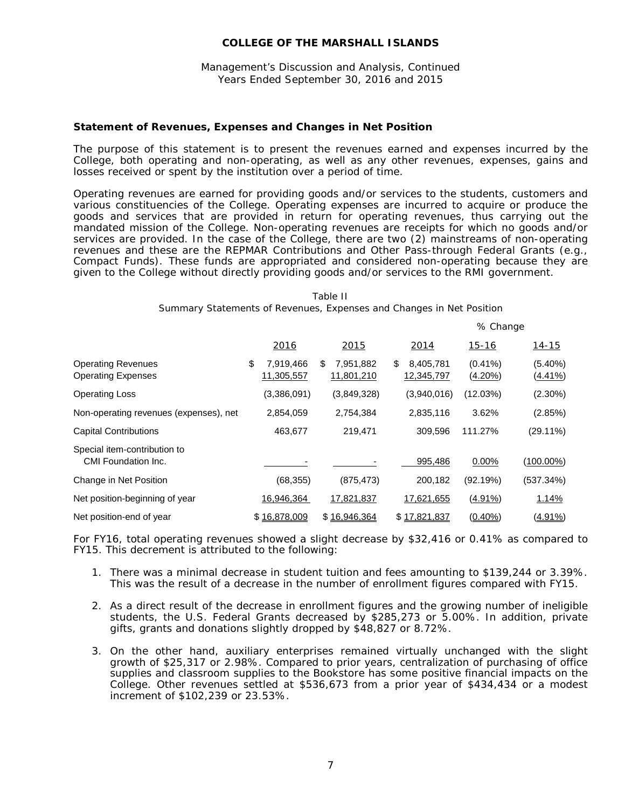#### Management's Discussion and Analysis, Continued Years Ended September 30, 2016 and 2015

#### *Statement of Revenues, Expenses and Changes in Net Position*

The purpose of this statement is to present the revenues earned and expenses incurred by the College, both operating and non-operating, as well as any other revenues, expenses, gains and losses received or spent by the institution over a period of time.

Operating revenues are earned for providing goods and/or services to the students, customers and various constituencies of the College. Operating expenses are incurred to acquire or produce the goods and services that are provided in return for operating revenues, thus carrying out the mandated mission of the College. Non-operating revenues are receipts for which no goods and/or services are provided. In the case of the College, there are two (2) mainstreams of non-operating revenues and these are the REPMAR Contributions and Other Pass-through Federal Grants (e.g., Compact Funds). These funds are appropriated and considered non-operating because they are given to the College without directly providing goods and/or services to the RMI government.

> Table II Summary Statements of Revenues, Expenses and Changes in Net Position

|                                                        |                               |   |                         |                               |           | % Change                     |                          |
|--------------------------------------------------------|-------------------------------|---|-------------------------|-------------------------------|-----------|------------------------------|--------------------------|
|                                                        | 2016                          |   | 2015                    | 2014                          | $15 - 16$ |                              | <u> 14-15</u>            |
| <b>Operating Revenues</b><br><b>Operating Expenses</b> | \$<br>7,919,466<br>11,305,557 | S | 7,951,882<br>11,801,210 | \$<br>8,405,781<br>12,345,797 |           | $(0.41\%)$<br><u>(4.20%)</u> | $(5.40\%)$<br>$(4.41\%)$ |
| <b>Operating Loss</b>                                  | (3,386,091)                   |   | (3,849,328)             | (3,940,016)                   | (12.03%)  |                              | $(2.30\%)$               |
| Non-operating revenues (expenses), net                 | 2,854,059                     |   | 2,754,384               | 2,835,116                     |           | 3.62%                        | (2.85%)                  |
| <b>Capital Contributions</b>                           | 463,677                       |   | 219,471                 | 309,596                       | 111.27%   |                              | $(29.11\%)$              |
| Special item-contribution to<br>CMI Foundation Inc.    |                               |   |                         | 995,486                       |           | 0.00%                        | <u>(100.00%)</u>         |
| Change in Net Position                                 | (68, 355)                     |   | (875, 473)              | 200,182                       | (92.19%)  |                              | (537.34%)                |
| Net position-beginning of year                         | 16,946,364                    |   | 17,821,837              | 17,621,655                    |           | <u>(4.91%)</u>               | 1.14%                    |
| Net position-end of year                               | \$16,878,009                  |   | \$16,946,364            | \$17,821,837                  |           | $(0.40\%)$                   | $(4.91\%)$               |

For FY16, total operating revenues showed a slight decrease by \$32,416 or 0.41% as compared to FY15. This decrement is attributed to the following:

- 1. There was a minimal decrease in student tuition and fees amounting to \$139,244 or 3.39%. This was the result of a decrease in the number of enrollment figures compared with FY15.
- 2. As a direct result of the decrease in enrollment figures and the growing number of ineligible students, the U.S. Federal Grants decreased by \$285,273 or 5.00%. In addition, private gifts, grants and donations slightly dropped by \$48,827 or 8.72%.
- 3. On the other hand, auxiliary enterprises remained virtually unchanged with the slight growth of \$25,317 or 2.98%. Compared to prior years, centralization of purchasing of office supplies and classroom supplies to the Bookstore has some positive financial impacts on the College. Other revenues settled at \$536,673 from a prior year of \$434,434 or a modest increment of \$102,239 or 23.53%.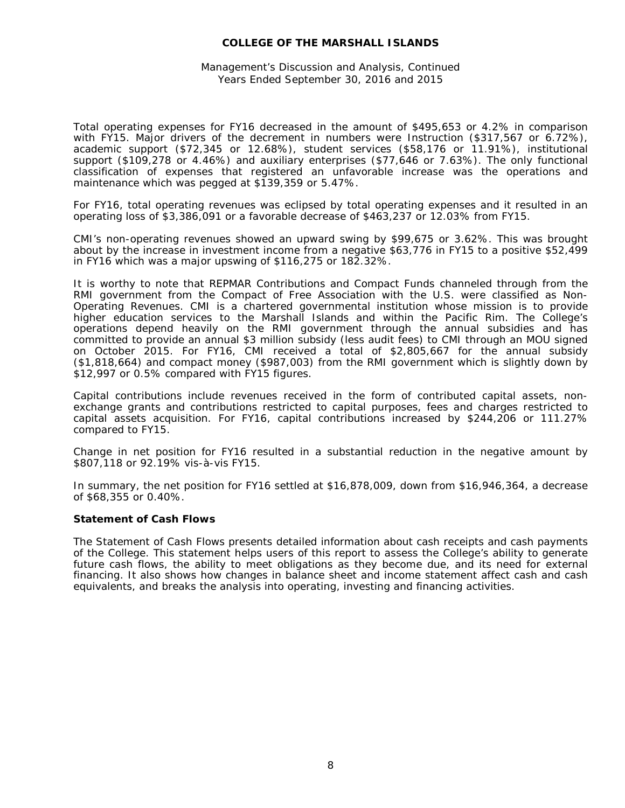#### Management's Discussion and Analysis, Continued Years Ended September 30, 2016 and 2015

Total operating expenses for FY16 decreased in the amount of \$495,653 or 4.2% in comparison with FY15. Major drivers of the decrement in numbers were Instruction (\$317,567 or 6.72%), academic support (\$72,345 or 12.68%), student services (\$58,176 or 11.91%), institutional support (\$109,278 or 4.46%) and auxiliary enterprises (\$77,646 or 7.63%). The only functional classification of expenses that registered an unfavorable increase was the operations and maintenance which was pegged at \$139,359 or 5.47%.

For FY16, total operating revenues was eclipsed by total operating expenses and it resulted in an operating loss of \$3,386,091 or a favorable decrease of \$463,237 or 12.03% from FY15.

CMI's non-operating revenues showed an upward swing by \$99,675 or 3.62%. This was brought about by the increase in investment income from a negative \$63,776 in FY15 to a positive \$52,499 in FY16 which was a major upswing of \$116,275 or 182.32%.

It is worthy to note that REPMAR Contributions and Compact Funds channeled through from the RMI government from the Compact of Free Association with the U.S. were classified as Non-Operating Revenues. CMI is a chartered governmental institution whose mission is to provide higher education services to the Marshall Islands and within the Pacific Rim. The College's operations depend heavily on the RMI government through the annual subsidies and has committed to provide an annual \$3 million subsidy (less audit fees) to CMI through an MOU signed on October 2015. For FY16, CMI received a total of \$2,805,667 for the annual subsidy (\$1,818,664) and compact money (\$987,003) from the RMI government which is slightly down by \$12,997 or 0.5% compared with FY15 figures.

Capital contributions include revenues received in the form of contributed capital assets, nonexchange grants and contributions restricted to capital purposes, fees and charges restricted to capital assets acquisition. For FY16, capital contributions increased by \$244,206 or 111.27% compared to FY15.

Change in net position for FY16 resulted in a substantial reduction in the negative amount by \$807,118 or 92.19% vis-à-vis FY15.

In summary, the net position for FY16 settled at \$16,878,009, down from \$16,946,364, a decrease of \$68,355 or 0.40%.

#### *Statement of Cash Flows*

The Statement of Cash Flows presents detailed information about cash receipts and cash payments of the College. This statement helps users of this report to assess the College's ability to generate future cash flows, the ability to meet obligations as they become due, and its need for external financing. It also shows how changes in balance sheet and income statement affect cash and cash equivalents, and breaks the analysis into operating, investing and financing activities.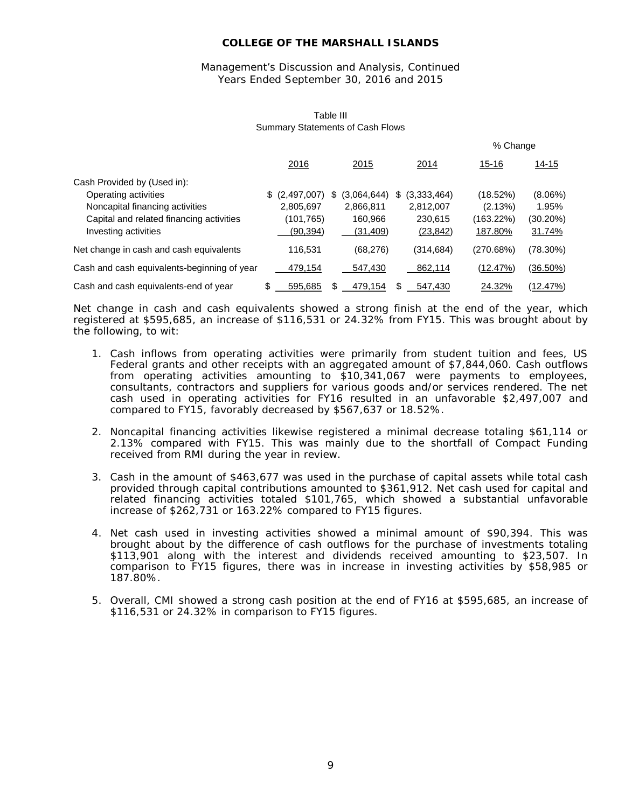Management's Discussion and Analysis, Continued Years Ended September 30, 2016 and 2015

# Table III Summary Statements of Cash Flows

|                                             |                   |                   |     |             | % Change     |             |
|---------------------------------------------|-------------------|-------------------|-----|-------------|--------------|-------------|
|                                             | 2016              | 2015              |     | 2014        | $15 - 16$    | 14-15       |
| Cash Provided by (Used in):                 |                   |                   |     |             |              |             |
| Operating activities                        | \$<br>(2,497,007) | \$<br>(3,064,644) | \$. | (3,333,464) | (18.52%)     | $(8.06\%)$  |
| Noncapital financing activities             | 2.805.697         | 2,866,811         |     | 2.812.007   | (2.13%)      | 1.95%       |
| Capital and related financing activities    | (101, 765)        | 160.966           |     | 230.615     | $(163.22\%)$ | (30.20%)    |
| Investing activities                        | (90, 394)         | (31,409)          |     | (23, 842)   | 187.80%      | 31.74%      |
| Net change in cash and cash equivalents     | 116.531           | (68,276)          |     | (314,684)   | (270.68%)    | (78.30%)    |
| Cash and cash equivalents-beginning of year | 479.154           | 547.430           |     | 862,114     | (12.47%)     | $(36.50\%)$ |
| Cash and cash equivalents-end of year       | \$<br>595,685     | 479,154           | S   | 547,430     | 24.32%       | (12.47%)    |

Net change in cash and cash equivalents showed a strong finish at the end of the year, which registered at \$595,685, an increase of \$116,531 or 24.32% from FY15. This was brought about by the following, to wit:

- 1. Cash inflows from operating activities were primarily from student tuition and fees, US Federal grants and other receipts with an aggregated amount of \$7,844,060. Cash outflows from operating activities amounting to \$10,341,067 were payments to employees, consultants, contractors and suppliers for various goods and/or services rendered. The net cash used in operating activities for FY16 resulted in an unfavorable \$2,497,007 and compared to FY15, favorably decreased by \$567,637 or 18.52%.
- 2. Noncapital financing activities likewise registered a minimal decrease totaling \$61,114 or 2.13% compared with FY15. This was mainly due to the shortfall of Compact Funding received from RMI during the year in review.
- 3. Cash in the amount of \$463,677 was used in the purchase of capital assets while total cash provided through capital contributions amounted to \$361,912. Net cash used for capital and related financing activities totaled \$101,765, which showed a substantial unfavorable increase of \$262,731 or 163.22% compared to FY15 figures.
- 4. Net cash used in investing activities showed a minimal amount of \$90,394. This was brought about by the difference of cash outflows for the purchase of investments totaling \$113,901 along with the interest and dividends received amounting to \$23,507. In comparison to FY15 figures, there was in increase in investing activities by \$58,985 or 187.80%.
- 5. Overall, CMI showed a strong cash position at the end of FY16 at \$595,685, an increase of \$116,531 or 24.32% in comparison to FY15 figures.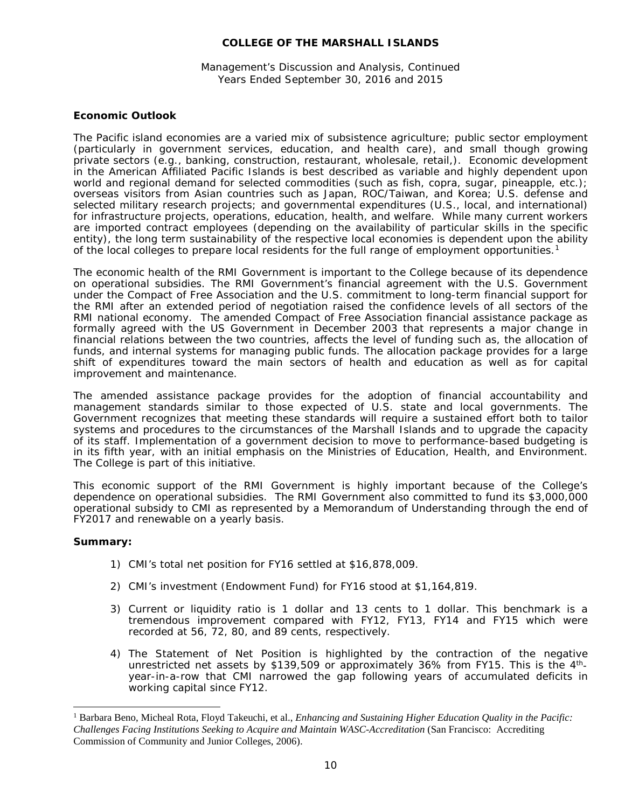Management's Discussion and Analysis, Continued Years Ended September 30, 2016 and 2015

# *Economic Outlook*

The Pacific island economies are a varied mix of subsistence agriculture; public sector employment (particularly in government services, education, and health care), and small though growing private sectors (e.g., banking, construction, restaurant, wholesale, retail,). Economic development in the American Affiliated Pacific Islands is best described as variable and highly dependent upon world and regional demand for selected commodities (such as fish, copra, sugar, pineapple, etc.); overseas visitors from Asian countries such as Japan, ROC/Taiwan, and Korea; U.S. defense and selected military research projects; and governmental expenditures (U.S., local, and international) for infrastructure projects, operations, education, health, and welfare. While many current workers are imported contract employees (depending on the availability of particular skills in the specific entity), the long term sustainability of the respective local economies is dependent upon the ability of the local colleges to prepare local residents for the full range of employment opportunities.<sup>[1](#page-11-0)</sup>

The economic health of the RMI Government is important to the College because of its dependence on operational subsidies. The RMI Government's financial agreement with the U.S. Government under the Compact of Free Association and the U.S. commitment to long-term financial support for the RMI after an extended period of negotiation raised the confidence levels of all sectors of the RMI national economy. The amended Compact of Free Association financial assistance package as formally agreed with the US Government in December 2003 that represents a major change in financial relations between the two countries, affects the level of funding such as, the allocation of funds, and internal systems for managing public funds. The allocation package provides for a large shift of expenditures toward the main sectors of health and education as well as for capital improvement and maintenance.

The amended assistance package provides for the adoption of financial accountability and management standards similar to those expected of U.S. state and local governments. The Government recognizes that meeting these standards will require a sustained effort both to tailor systems and procedures to the circumstances of the Marshall Islands and to upgrade the capacity of its staff. Implementation of a government decision to move to performance-based budgeting is in its fifth year, with an initial emphasis on the Ministries of Education, Health, and Environment. The College is part of this initiative.

This economic support of the RMI Government is highly important because of the College's dependence on operational subsidies. The RMI Government also committed to fund its \$3,000,000 operational subsidy to CMI as represented by a Memorandum of Understanding through the end of FY2017 and renewable on a yearly basis.

#### *Summary:*

- 1) CMI's total net position for FY16 settled at \$16,878,009.
- 2) CMI's investment (Endowment Fund) for FY16 stood at \$1,164,819.
- 3) Current or liquidity ratio is 1 dollar and 13 cents to 1 dollar. This benchmark is a tremendous improvement compared with FY12, FY13, FY14 and FY15 which were recorded at 56, 72, 80, and 89 cents, respectively.
- 4) The Statement of Net Position is highlighted by the contraction of the negative unrestricted net assets by \$139,509 or approximately 36% from FY15. This is the  $4<sup>th</sup>$ year-in-a-row that CMI narrowed the gap following years of accumulated deficits in working capital since FY12.

<span id="page-11-0"></span> <sup>1</sup> Barbara Beno, Micheal Rota, Floyd Takeuchi, et al., *Enhancing and Sustaining Higher Education Quality in the Pacific: Challenges Facing Institutions Seeking to Acquire and Maintain WASC-Accreditation* (San Francisco: Accrediting Commission of Community and Junior Colleges, 2006).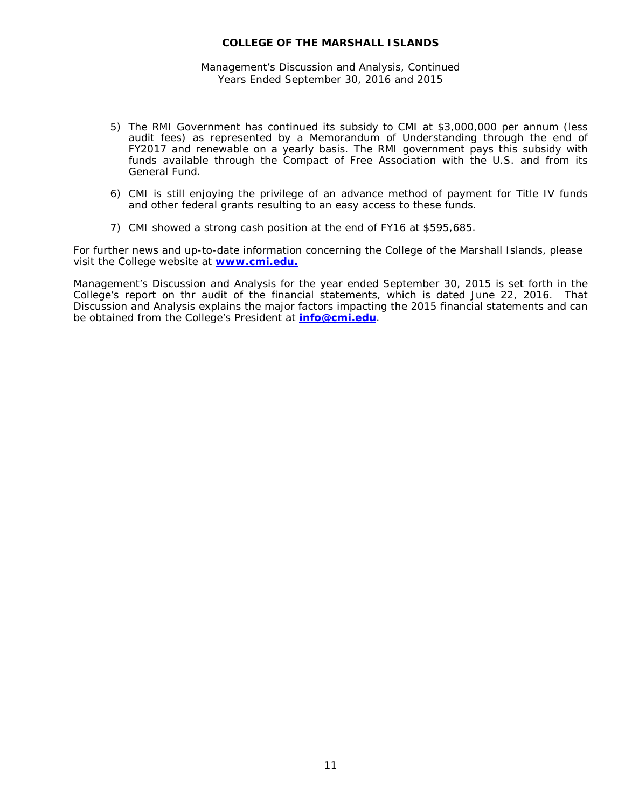#### Management's Discussion and Analysis, Continued Years Ended September 30, 2016 and 2015

- 5) The RMI Government has continued its subsidy to CMI at \$3,000,000 per annum (less audit fees) as represented by a Memorandum of Understanding through the end of FY2017 and renewable on a yearly basis. The RMI government pays this subsidy with funds available through the Compact of Free Association with the U.S. and from its General Fund.
- 6) CMI is still enjoying the privilege of an advance method of payment for Title IV funds and other federal grants resulting to an easy access to these funds.
- 7) CMI showed a strong cash position at the end of FY16 at \$595,685.

For further news and up-to-date information concerning the College of the Marshall Islands, please visit the College website at **www.cmi.edu.**

Management's Discussion and Analysis for the year ended September 30, 2015 is set forth in the College's report on thr audit of the financial statements, which is dated June 22, 2016. That Discussion and Analysis explains the major factors impacting the 2015 financial statements and can be obtained from the College's President at **info@cmi.edu**.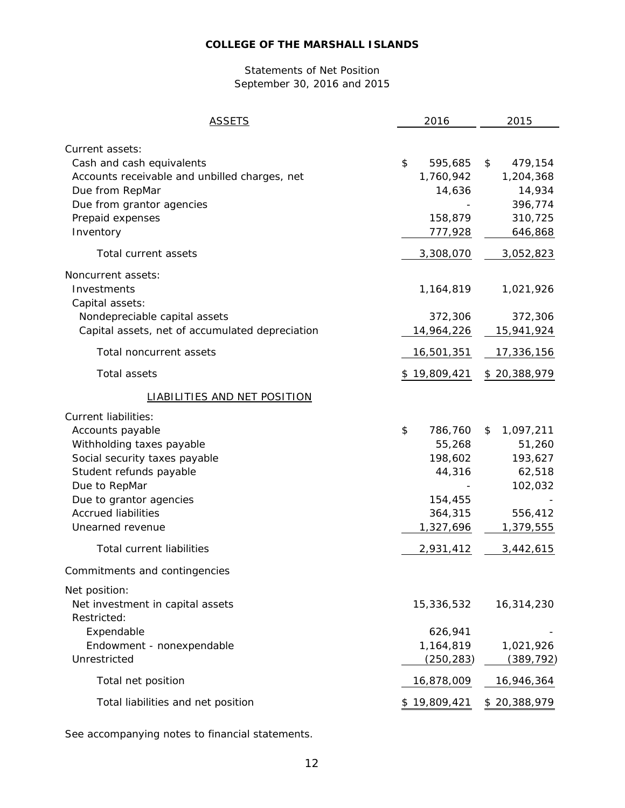# Statements of Net Position September 30, 2016 and 2015

| <b>ASSETS</b>                                                                                 | 2016                       | 2015                       |
|-----------------------------------------------------------------------------------------------|----------------------------|----------------------------|
|                                                                                               |                            |                            |
| Current assets:<br>Cash and cash equivalents<br>Accounts receivable and unbilled charges, net | \$<br>595,685<br>1,760,942 | \$<br>479,154<br>1,204,368 |
| Due from RepMar                                                                               | 14,636                     | 14,934                     |
| Due from grantor agencies<br>Prepaid expenses                                                 | 158,879                    | 396,774<br>310,725         |
| Inventory                                                                                     | 777,928                    | 646,868                    |
| Total current assets                                                                          | 3,308,070                  | 3,052,823                  |
| Noncurrent assets:                                                                            |                            |                            |
| Investments<br>Capital assets:                                                                | 1,164,819                  | 1,021,926                  |
| Nondepreciable capital assets                                                                 | 372,306                    | 372,306                    |
| Capital assets, net of accumulated depreciation                                               | 14,964,226                 | 15,941,924                 |
| Total noncurrent assets                                                                       | 16,501,351                 | 17,336,156                 |
| Total assets                                                                                  | \$19,809,421               | \$20,388,979               |
| <b>LIABILITIES AND NET POSITION</b>                                                           |                            |                            |
| <b>Current liabilities:</b>                                                                   |                            |                            |
| Accounts payable                                                                              | \$<br>786,760              | 1,097,211<br>\$            |
| Withholding taxes payable                                                                     | 55,268                     | 51,260                     |
| Social security taxes payable                                                                 | 198,602                    | 193,627                    |
| Student refunds payable                                                                       | 44,316                     | 62,518                     |
| Due to RepMar                                                                                 |                            | 102,032                    |
| Due to grantor agencies                                                                       | 154,455                    |                            |
| <b>Accrued liabilities</b>                                                                    | 364,315                    | 556,412                    |
| Unearned revenue                                                                              | 1,327,696                  | 1,379,555                  |
| <b>Total current liabilities</b>                                                              | 2,931,412                  | 3,442,615                  |
| Commitments and contingencies                                                                 |                            |                            |
| Net position:<br>Net investment in capital assets                                             | 15,336,532                 | 16,314,230                 |
| Restricted:                                                                                   |                            |                            |
| Expendable                                                                                    | 626,941                    |                            |
| Endowment - nonexpendable<br>Unrestricted                                                     | 1,164,819<br>(250, 283)    | 1,021,926<br>(389, 792)    |
| Total net position                                                                            | 16,878,009                 | 16,946,364                 |
| Total liabilities and net position                                                            | \$19,809,421               | \$20,388,979               |
|                                                                                               |                            |                            |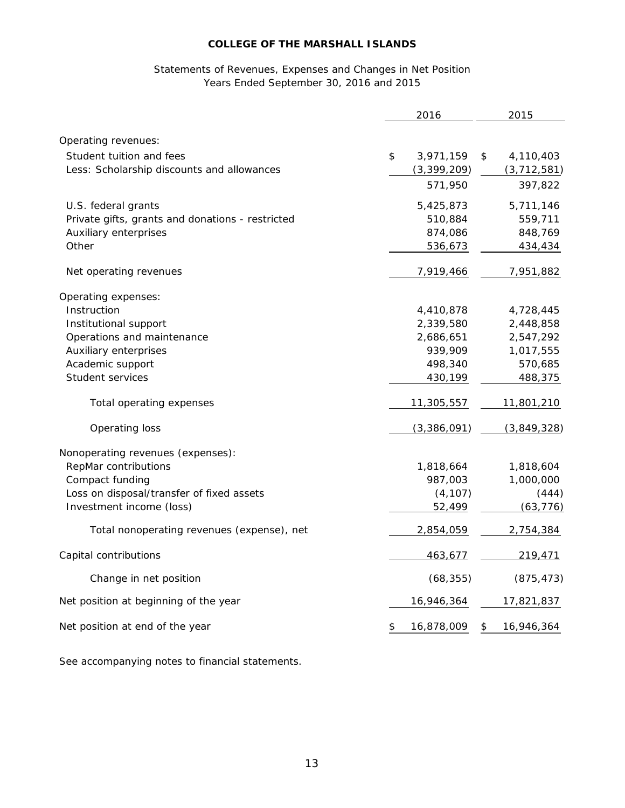# Statements of Revenues, Expenses and Changes in Net Position Years Ended September 30, 2016 and 2015

|                                                  | 2016             | 2015             |
|--------------------------------------------------|------------------|------------------|
| Operating revenues:                              |                  |                  |
|                                                  | \$               |                  |
| Student tuition and fees                         | 3,971,159        | 4,110,403<br>\$  |
| Less: Scholarship discounts and allowances       | (3, 399, 209)    | (3, 712, 581)    |
|                                                  | 571,950          | 397,822          |
| U.S. federal grants                              | 5,425,873        | 5,711,146        |
| Private gifts, grants and donations - restricted | 510,884          | 559,711          |
| Auxiliary enterprises                            | 874,086          | 848,769          |
| Other                                            | 536,673          | 434,434          |
| Net operating revenues                           | 7,919,466        | 7,951,882        |
| Operating expenses:                              |                  |                  |
| Instruction                                      | 4,410,878        | 4,728,445        |
| Institutional support                            | 2,339,580        | 2,448,858        |
| Operations and maintenance                       | 2,686,651        | 2,547,292        |
| Auxiliary enterprises                            | 939,909          | 1,017,555        |
| Academic support                                 | 498,340          | 570,685          |
| Student services                                 | 430,199          | 488,375          |
| Total operating expenses                         | 11,305,557       | 11,801,210       |
| Operating loss                                   | (3,386,091)      | (3,849,328)      |
| Nonoperating revenues (expenses):                |                  |                  |
| RepMar contributions                             | 1,818,664        | 1,818,604        |
| Compact funding                                  | 987,003          | 1,000,000        |
| Loss on disposal/transfer of fixed assets        | (4, 107)         | (444)            |
| Investment income (loss)                         | 52,499           | (63, 776)        |
| Total nonoperating revenues (expense), net       | 2,854,059        | 2,754,384        |
| Capital contributions                            | 463,677          | 219,471          |
| Change in net position                           | (68, 355)        | (875, 473)       |
| Net position at beginning of the year            | 16,946,364       | 17,821,837       |
| Net position at end of the year                  | \$<br>16,878,009 | 16,946,364<br>\$ |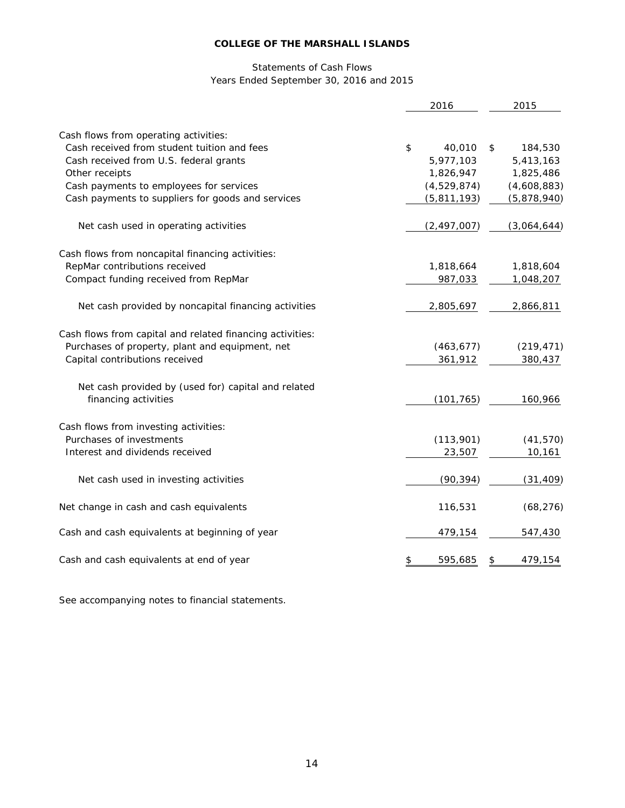# Statements of Cash Flows Years Ended September 30, 2016 and 2015

|                                                           | 2016          | 2015          |
|-----------------------------------------------------------|---------------|---------------|
| Cash flows from operating activities:                     |               |               |
| Cash received from student tuition and fees               | \$<br>40,010  | 184,530<br>\$ |
| Cash received from U.S. federal grants                    | 5,977,103     | 5,413,163     |
| Other receipts                                            | 1,826,947     | 1,825,486     |
| Cash payments to employees for services                   | (4,529,874)   | (4,608,883)   |
| Cash payments to suppliers for goods and services         | (5, 811, 193) | (5,878,940)   |
| Net cash used in operating activities                     | (2, 497, 007) | (3,064,644)   |
| Cash flows from noncapital financing activities:          |               |               |
| RepMar contributions received                             | 1,818,664     | 1,818,604     |
| Compact funding received from RepMar                      | 987,033       | 1,048,207     |
| Net cash provided by noncapital financing activities      | 2,805,697     | 2,866,811     |
| Cash flows from capital and related financing activities: |               |               |
| Purchases of property, plant and equipment, net           | (463, 677)    | (219, 471)    |
| Capital contributions received                            | 361,912       | 380,437       |
| Net cash provided by (used for) capital and related       |               |               |
| financing activities                                      | (101, 765)    | 160,966       |
| Cash flows from investing activities:                     |               |               |
| Purchases of investments                                  | (113,901)     | (41, 570)     |
| Interest and dividends received                           | 23,507        | 10,161        |
| Net cash used in investing activities                     | (90, 394)     | (31, 409)     |
| Net change in cash and cash equivalents                   | 116,531       | (68, 276)     |
| Cash and cash equivalents at beginning of year            | 479,154       | 547,430       |
| Cash and cash equivalents at end of year                  | \$<br>595,685 | \$<br>479,154 |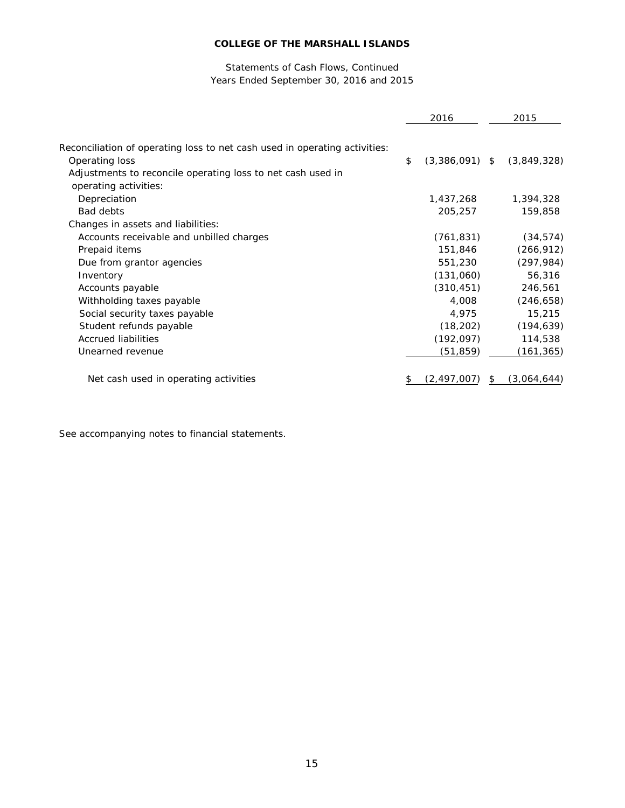# Statements of Cash Flows, Continued Years Ended September 30, 2016 and 2015

|                                                                            | 2016                   |     | 2015        |
|----------------------------------------------------------------------------|------------------------|-----|-------------|
| Reconciliation of operating loss to net cash used in operating activities: |                        |     |             |
| Operating loss                                                             | \$<br>$(3,386,091)$ \$ |     | (3,849,328) |
| Adjustments to reconcile operating loss to net cash used in                |                        |     |             |
| operating activities:                                                      |                        |     |             |
| Depreciation                                                               | 1,437,268              |     | 1,394,328   |
| <b>Bad debts</b>                                                           | 205,257                |     | 159,858     |
| Changes in assets and liabilities:                                         |                        |     |             |
| Accounts receivable and unbilled charges                                   | (761, 831)             |     | (34, 574)   |
| Prepaid items                                                              | 151,846                |     | (266, 912)  |
| Due from grantor agencies                                                  | 551,230                |     | (297, 984)  |
| Inventory                                                                  | (131,060)              |     | 56,316      |
| Accounts payable                                                           | (310, 451)             |     | 246,561     |
| Withholding taxes payable                                                  | 4,008                  |     | (246, 658)  |
| Social security taxes payable                                              | 4,975                  |     | 15,215      |
| Student refunds payable                                                    | (18, 202)              |     | (194, 639)  |
| <b>Accrued liabilities</b>                                                 | (192, 097)             |     | 114,538     |
| Unearned revenue                                                           | (51,859)               |     | (161, 365)  |
| Net cash used in operating activities                                      | (2,497,007)            | \$. | (3,064,644) |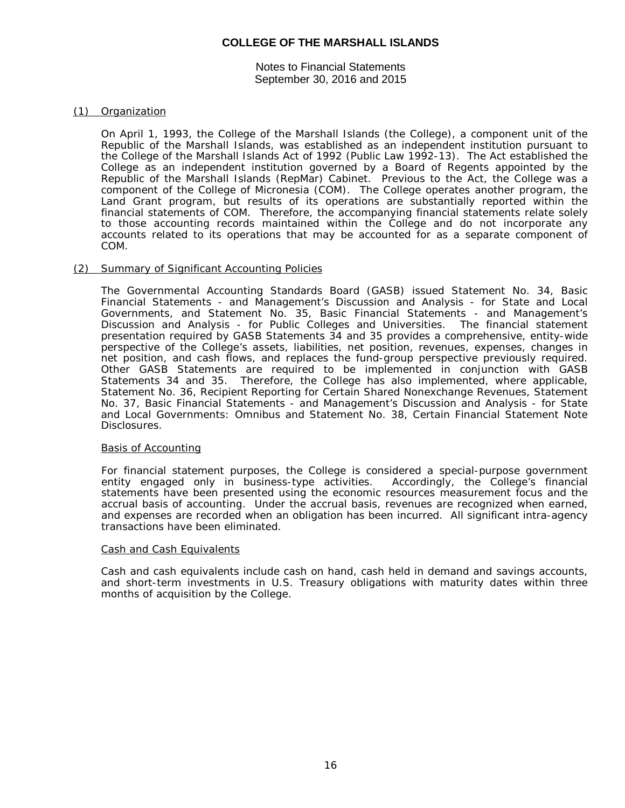Notes to Financial Statements September 30, 2016 and 2015

# (1) Organization

On April 1, 1993, the College of the Marshall Islands (the College), a component unit of the Republic of the Marshall Islands, was established as an independent institution pursuant to the College of the Marshall Islands Act of 1992 (Public Law 1992-13). The Act established the College as an independent institution governed by a Board of Regents appointed by the Republic of the Marshall Islands (RepMar) Cabinet. Previous to the Act, the College was a component of the College of Micronesia (COM). The College operates another program, the Land Grant program, but results of its operations are substantially reported within the financial statements of COM. Therefore, the accompanying financial statements relate solely to those accounting records maintained within the College and do not incorporate any accounts related to its operations that may be accounted for as a separate component of COM.

#### (2) Summary of Significant Accounting Policies

The Governmental Accounting Standards Board (GASB) issued Statement No. 34, *Basic Financial Statements - and Management's Discussion and Analysis - for State and Local Governments*, and Statement No. 35, *Basic Financial Statements - and Management's Discussion and Analysis - for Public Colleges and Universities*. The financial statement presentation required by GASB Statements 34 and 35 provides a comprehensive, entity-wide perspective of the College's assets, liabilities, net position, revenues, expenses, changes in net position, and cash flows, and replaces the fund-group perspective previously required. Other GASB Statements are required to be implemented in conjunction with GASB Statements 34 and 35. Therefore, the College has also implemented, where applicable, Statement No. 36, *Recipient Reporting for Certain Shared Nonexchange Revenues*, Statement No. 37, *Basic Financial Statements - and Management's Discussion and Analysis - for State and Local Governments: Omnibus* and Statement No. 38, *Certain Financial Statement Note Disclosures.*

#### Basis of Accounting

For financial statement purposes, the College is considered a special-purpose government entity engaged only in business-type activities. Accordingly, the College's financial statements have been presented using the economic resources measurement focus and the accrual basis of accounting. Under the accrual basis, revenues are recognized when earned, and expenses are recorded when an obligation has been incurred. All significant intra-agency transactions have been eliminated.

#### Cash and Cash Equivalents

Cash and cash equivalents include cash on hand, cash held in demand and savings accounts, and short-term investments in U.S. Treasury obligations with maturity dates within three months of acquisition by the College.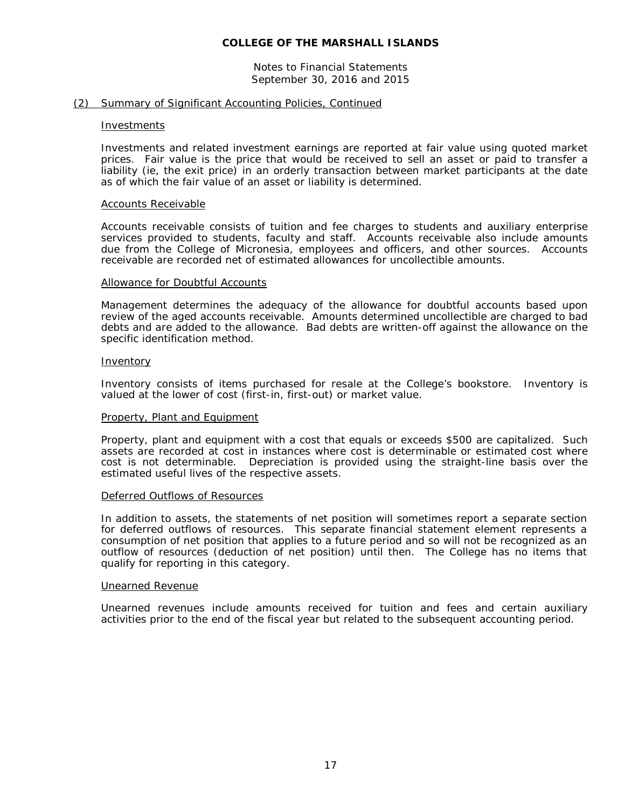Notes to Financial Statements September 30, 2016 and 2015

#### (2) Summary of Significant Accounting Policies, Continued

#### Investments

Investments and related investment earnings are reported at fair value using quoted market prices. Fair value is the price that would be received to sell an asset or paid to transfer a liability (ie, the exit price) in an orderly transaction between market participants at the date as of which the fair value of an asset or liability is determined.

#### Accounts Receivable

Accounts receivable consists of tuition and fee charges to students and auxiliary enterprise services provided to students, faculty and staff. Accounts receivable also include amounts due from the College of Micronesia, employees and officers, and other sources. Accounts receivable are recorded net of estimated allowances for uncollectible amounts.

#### Allowance for Doubtful Accounts

Management determines the adequacy of the allowance for doubtful accounts based upon review of the aged accounts receivable. Amounts determined uncollectible are charged to bad debts and are added to the allowance. Bad debts are written-off against the allowance on the specific identification method.

#### Inventory

Inventory consists of items purchased for resale at the College's bookstore. Inventory is valued at the lower of cost (first-in, first-out) or market value.

#### Property, Plant and Equipment

Property, plant and equipment with a cost that equals or exceeds \$500 are capitalized. Such assets are recorded at cost in instances where cost is determinable or estimated cost where cost is not determinable. Depreciation is provided using the straight-line basis over the estimated useful lives of the respective assets.

#### Deferred Outflows of Resources

In addition to assets, the statements of net position will sometimes report a separate section for deferred outflows of resources. This separate financial statement element represents a consumption of net position that applies to a future period and so will not be recognized as an outflow of resources (deduction of net position) until then. The College has no items that qualify for reporting in this category.

#### Unearned Revenue

Unearned revenues include amounts received for tuition and fees and certain auxiliary activities prior to the end of the fiscal year but related to the subsequent accounting period.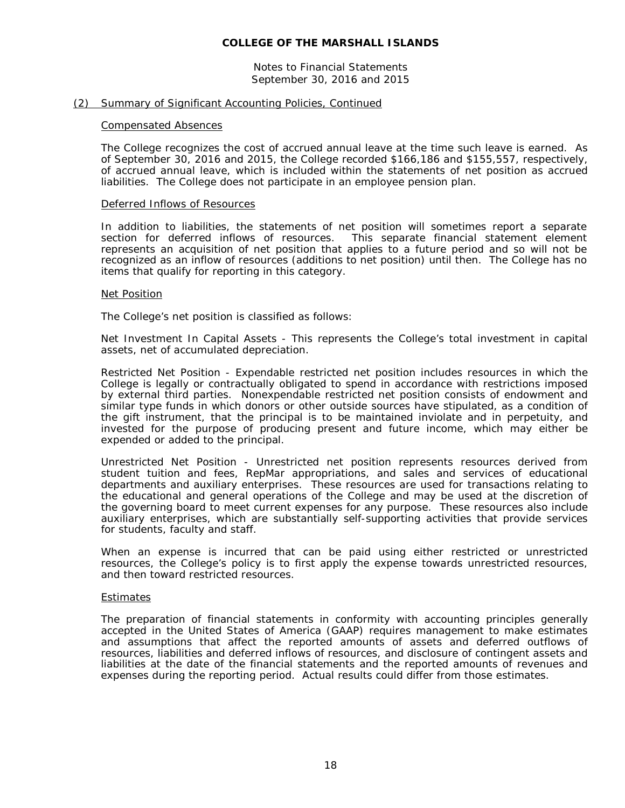Notes to Financial Statements September 30, 2016 and 2015

#### (2) Summary of Significant Accounting Policies, Continued

#### Compensated Absences

The College recognizes the cost of accrued annual leave at the time such leave is earned. As of September 30, 2016 and 2015, the College recorded \$166,186 and \$155,557, respectively, of accrued annual leave, which is included within the statements of net position as accrued liabilities. The College does not participate in an employee pension plan.

#### Deferred Inflows of Resources

In addition to liabilities, the statements of net position will sometimes report a separate section for deferred inflows of resources. This separate financial statement element represents an acquisition of net position that applies to a future period and so will not be recognized as an inflow of resources (additions to net position) until then. The College has no items that qualify for reporting in this category.

#### Net Position

The College's net position is classified as follows:

*Net Investment In Capital Assets* - This represents the College's total investment in capital assets, net of accumulated depreciation.

*Restricted Net Position - Expendable* restricted net position includes resources in which the College is legally or contractually obligated to spend in accordance with restrictions imposed by external third parties. *Nonexpendable* restricted net position consists of endowment and similar type funds in which donors or other outside sources have stipulated, as a condition of the gift instrument, that the principal is to be maintained inviolate and in perpetuity, and invested for the purpose of producing present and future income, which may either be expended or added to the principal.

*Unrestricted Net Position* - Unrestricted net position represents resources derived from student tuition and fees, RepMar appropriations, and sales and services of educational departments and auxiliary enterprises. These resources are used for transactions relating to the educational and general operations of the College and may be used at the discretion of the governing board to meet current expenses for any purpose. These resources also include auxiliary enterprises, which are substantially self-supporting activities that provide services for students, faculty and staff.

When an expense is incurred that can be paid using either restricted or unrestricted resources, the College's policy is to first apply the expense towards unrestricted resources, and then toward restricted resources.

#### Estimates

The preparation of financial statements in conformity with accounting principles generally accepted in the United States of America (GAAP) requires management to make estimates and assumptions that affect the reported amounts of assets and deferred outflows of resources, liabilities and deferred inflows of resources, and disclosure of contingent assets and liabilities at the date of the financial statements and the reported amounts of revenues and expenses during the reporting period. Actual results could differ from those estimates.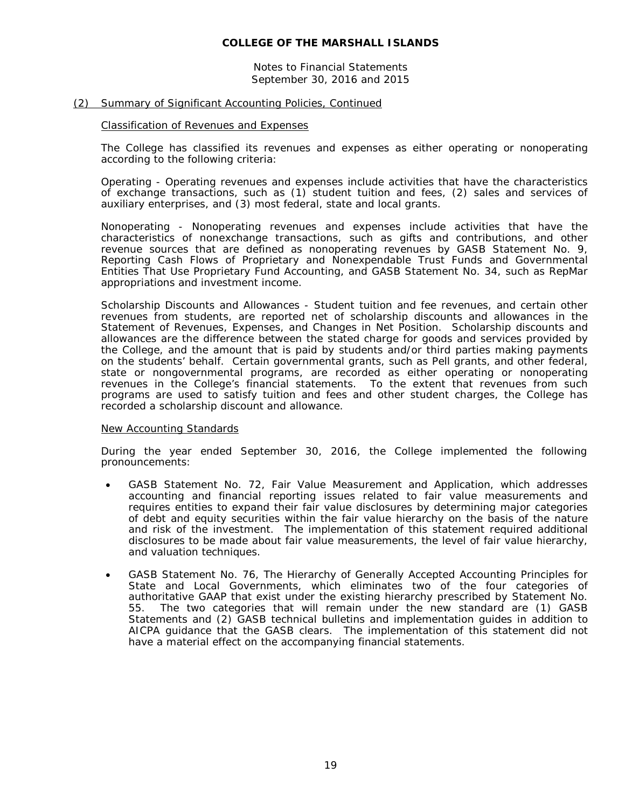Notes to Financial Statements September 30, 2016 and 2015

# (2) Summary of Significant Accounting Policies, Continued

#### Classification of Revenues and Expenses

The College has classified its revenues and expenses as either operating or nonoperating according to the following criteria:

*Operating* - Operating revenues and expenses include activities that have the characteristics of exchange transactions, such as (1) student tuition and fees, (2) sales and services of auxiliary enterprises, and (3) most federal, state and local grants.

*Nonoperating* - Nonoperating revenues and expenses include activities that have the characteristics of nonexchange transactions, such as gifts and contributions, and other revenue sources that are defined as nonoperating revenues by GASB Statement No. 9, *Reporting Cash Flows of Proprietary and Nonexpendable Trust Funds and Governmental Entities That Use Proprietary Fund Accounting*, and GASB Statement No. 34, such as RepMar appropriations and investment income.

*Scholarship Discounts and Allowances* - Student tuition and fee revenues, and certain other revenues from students, are reported net of scholarship discounts and allowances in the Statement of Revenues, Expenses, and Changes in Net Position. Scholarship discounts and allowances are the difference between the stated charge for goods and services provided by the College, and the amount that is paid by students and/or third parties making payments on the students' behalf. Certain governmental grants, such as Pell grants, and other federal, state or nongovernmental programs, are recorded as either operating or nonoperating revenues in the College's financial statements. To the extent that revenues from such programs are used to satisfy tuition and fees and other student charges, the College has recorded a scholarship discount and allowance.

#### New Accounting Standards

During the year ended September 30, 2016, the College implemented the following pronouncements:

- GASB Statement No. 72, *Fair Value Measurement and Application*, which addresses accounting and financial reporting issues related to fair value measurements and requires entities to expand their fair value disclosures by determining major categories of debt and equity securities within the fair value hierarchy on the basis of the nature and risk of the investment. The implementation of this statement required additional disclosures to be made about fair value measurements, the level of fair value hierarchy, and valuation techniques.
- GASB Statement No. 76, *The Hierarchy of Generally Accepted Accounting Principles for State and Local Governments*, which eliminates two of the four categories of authoritative GAAP that exist under the existing hierarchy prescribed by Statement No. 55. The two categories that will remain under the new standard are (1) GASB Statements and (2) GASB technical bulletins and implementation guides in addition to AICPA guidance that the GASB clears. The implementation of this statement did not have a material effect on the accompanying financial statements.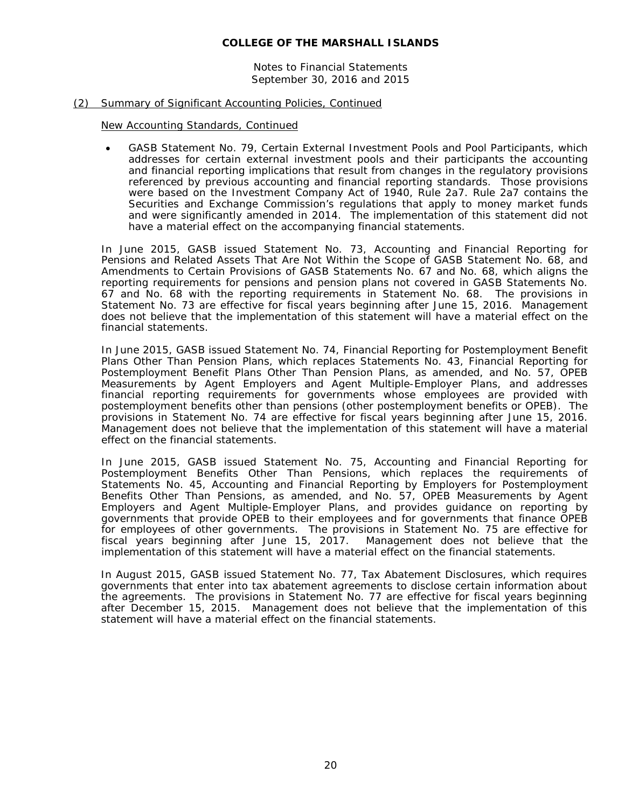Notes to Financial Statements September 30, 2016 and 2015

# (2) Summary of Significant Accounting Policies, Continued

New Accounting Standards, Continued

• GASB Statement No. 79, *Certain External Investment Pools and Pool Participants*, which addresses for certain external investment pools and their participants the accounting and financial reporting implications that result from changes in the regulatory provisions referenced by previous accounting and financial reporting standards. Those provisions were based on the Investment Company Act of 1940, Rule 2a7. Rule 2a7 contains the Securities and Exchange Commission's regulations that apply to money market funds and were significantly amended in 2014. The implementation of this statement did not have a material effect on the accompanying financial statements.

In June 2015, GASB issued Statement No. 73, *Accounting and Financial Reporting for Pensions and Related Assets That Are Not Within the Scope of GASB Statement No. 68, and Amendments to Certain Provisions of GASB Statements No. 67 and No. 68*, which aligns the reporting requirements for pensions and pension plans not covered in GASB Statements No. 67 and No. 68 with the reporting requirements in Statement No. 68. The provisions in Statement No. 73 are effective for fiscal years beginning after June 15, 2016. Management does not believe that the implementation of this statement will have a material effect on the financial statements.

In June 2015, GASB issued Statement No. 74, *Financial Reporting for Postemployment Benefit Plans Other Than Pension Plans*, which replaces Statements No. 43, *Financial Reporting for Postemployment Benefit Plans* Other *Than Pension Plans*, as amended, and No. 57, *OPEB Measurements by Agent Employers and Agent Multiple-Employer Plans*, and addresses financial reporting requirements for governments whose employees are provided with postemployment benefits other than pensions (other postemployment benefits or OPEB). The provisions in Statement No. 74 are effective for fiscal years beginning after June 15, 2016. Management does not believe that the implementation of this statement will have a material effect on the financial statements.

In June 2015, GASB issued Statement No. 75, *Accounting and Financial Reporting for Postemployment Benefits Other Than Pensions*, which replaces the requirements of Statements No. 45, *Accounting and Financial Reporting by Employers for Postemployment Benefits Other Than Pensions,* as amended, and No. 57, *OPEB Measurements by Agent Employers and Agent Multiple-Employer Plans*, and provides guidance on reporting by governments that provide OPEB to their employees and for governments that finance OPEB for employees of other governments. The provisions in Statement No. 75 are effective for fiscal years beginning after June 15, 2017. Management does not believe that the implementation of this statement will have a material effect on the financial statements.

In August 2015, GASB issued Statement No. 77, *Tax Abatement Disclosures*, which requires governments that enter into tax abatement agreements to disclose certain information about the agreements. The provisions in Statement No. 77 are effective for fiscal years beginning after December 15, 2015. Management does not believe that the implementation of this statement will have a material effect on the financial statements.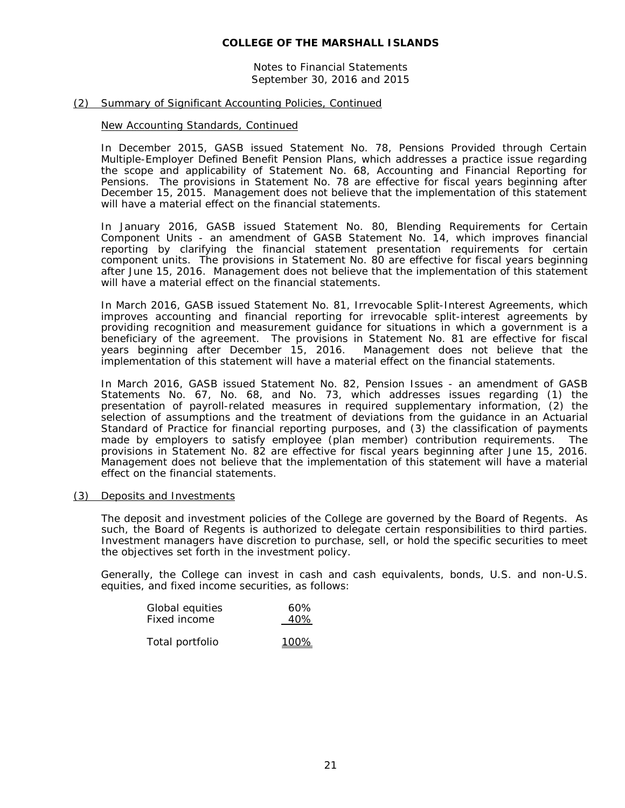Notes to Financial Statements September 30, 2016 and 2015

#### (2) Summary of Significant Accounting Policies, Continued

#### New Accounting Standards, Continued

In December 2015, GASB issued Statement No. 78, *Pensions Provided through Certain Multiple-Employer Defined Benefit Pension Plans*, which addresses a practice issue regarding the scope and applicability of Statement No. 68, *Accounting and Financial Reporting for Pensions*. The provisions in Statement No. 78 are effective for fiscal years beginning after December 15, 2015. Management does not believe that the implementation of this statement will have a material effect on the financial statements.

In January 2016, GASB issued Statement No. 80, *Blending Requirements for Certain Component Units - an amendment of GASB Statement No. 14*, which improves financial reporting by clarifying the financial statement presentation requirements for certain component units. The provisions in Statement No. 80 are effective for fiscal years beginning after June 15, 2016. Management does not believe that the implementation of this statement will have a material effect on the financial statements.

In March 2016, GASB issued Statement No. 81, *Irrevocable Split-Interest Agreements*, which improves accounting and financial reporting for irrevocable split-interest agreements by providing recognition and measurement guidance for situations in which a government is a beneficiary of the agreement. The provisions in Statement No. 81 are effective for fiscal years beginning after December 15, 2016. Management does not believe that the implementation of this statement will have a material effect on the financial statements.

In March 2016, GASB issued Statement No. 82, *Pension Issues - an amendment of GASB Statements No. 67, No. 68, and No. 73*, which addresses issues regarding (1) the presentation of payroll-related measures in required supplementary information, (2) the selection of assumptions and the treatment of deviations from the guidance in an Actuarial Standard of Practice for financial reporting purposes, and (3) the classification of payments made by employers to satisfy employee (plan member) contribution requirements. The provisions in Statement No. 82 are effective for fiscal years beginning after June 15, 2016. Management does not believe that the implementation of this statement will have a material effect on the financial statements.

#### (3) Deposits and Investments

The deposit and investment policies of the College are governed by the Board of Regents. As such, the Board of Regents is authorized to delegate certain responsibilities to third parties. Investment managers have discretion to purchase, sell, or hold the specific securities to meet the objectives set forth in the investment policy.

Generally, the College can invest in cash and cash equivalents, bonds, U.S. and non-U.S. equities, and fixed income securities, as follows:

| Global equities | 60%  |
|-----------------|------|
| Fixed income    | 40%  |
| Total portfolio | 100% |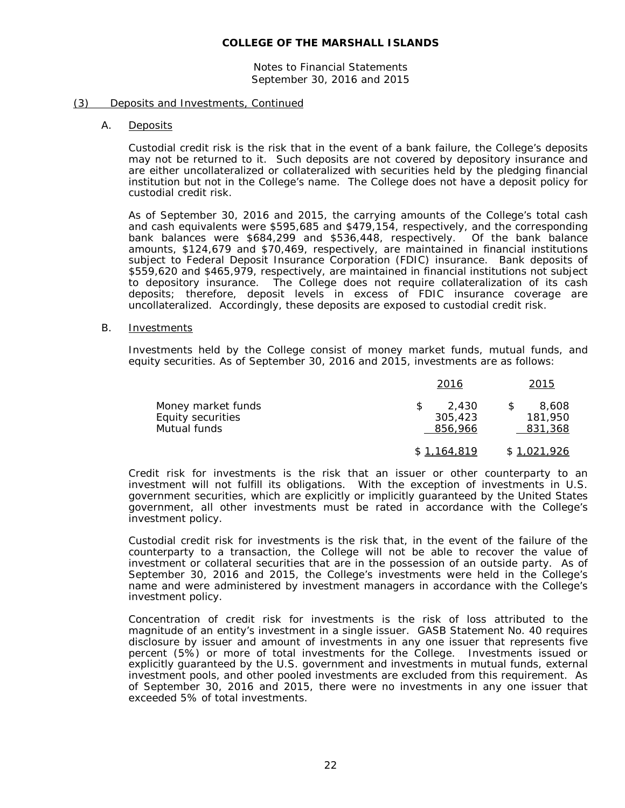Notes to Financial Statements September 30, 2016 and 2015

#### (3) Deposits and Investments, Continued

A. Deposits

Custodial credit risk is the risk that in the event of a bank failure, the College's deposits may not be returned to it. Such deposits are not covered by depository insurance and are either uncollateralized or collateralized with securities held by the pledging financial institution but not in the College's name. The College does not have a deposit policy for custodial credit risk.

As of September 30, 2016 and 2015, the carrying amounts of the College's total cash and cash equivalents were \$595,685 and \$479,154, respectively, and the corresponding bank balances were \$684,299 and \$536,448, respectively. Of the bank balance amounts, \$124,679 and \$70,469, respectively, are maintained in financial institutions subject to Federal Deposit Insurance Corporation (FDIC) insurance. Bank deposits of \$559,620 and \$465,979, respectively, are maintained in financial institutions not subject to depository insurance. The College does not require collateralization of its cash deposits; therefore, deposit levels in excess of FDIC insurance coverage are uncollateralized. Accordingly, these deposits are exposed to custodial credit risk.

#### B. Investments

Investments held by the College consist of money market funds, mutual funds, and equity securities. As of September 30, 2016 and 2015, investments are as follows:

|                                                         | 2016                        | 2015                        |
|---------------------------------------------------------|-----------------------------|-----------------------------|
| Money market funds<br>Equity securities<br>Mutual funds | 2.430<br>305,423<br>856,966 | 8,608<br>181,950<br>831,368 |
|                                                         | \$1,164,819                 | \$1,021,926                 |

Credit risk for investments is the risk that an issuer or other counterparty to an investment will not fulfill its obligations. With the exception of investments in U.S. government securities, which are explicitly or implicitly guaranteed by the United States government, all other investments must be rated in accordance with the College's investment policy.

Custodial credit risk for investments is the risk that, in the event of the failure of the counterparty to a transaction, the College will not be able to recover the value of investment or collateral securities that are in the possession of an outside party. As of September 30, 2016 and 2015, the College's investments were held in the College's name and were administered by investment managers in accordance with the College's investment policy.

Concentration of credit risk for investments is the risk of loss attributed to the magnitude of an entity's investment in a single issuer. GASB Statement No. 40 requires disclosure by issuer and amount of investments in any one issuer that represents five percent (5%) or more of total investments for the College. Investments issued or explicitly guaranteed by the U.S. government and investments in mutual funds, external investment pools, and other pooled investments are excluded from this requirement. As of September 30, 2016 and 2015, there were no investments in any one issuer that exceeded 5% of total investments.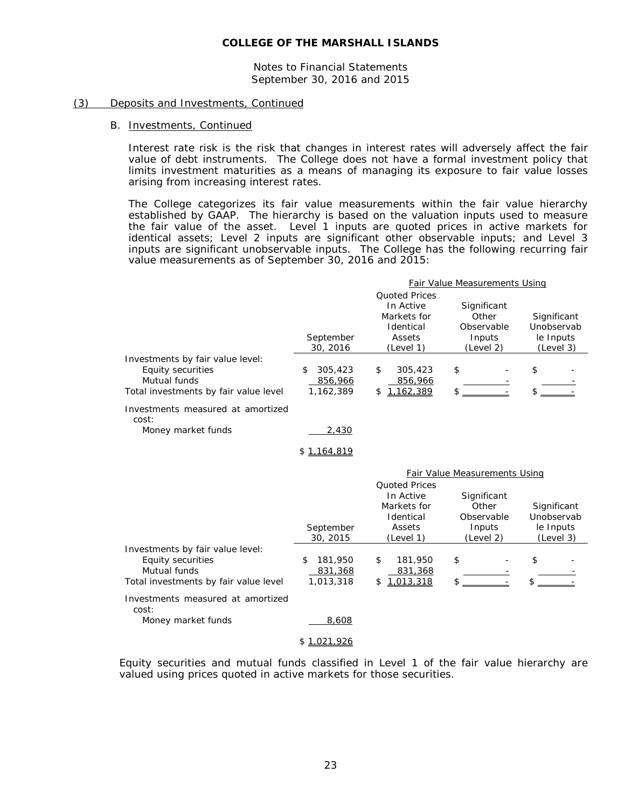Notes to Financial Statements September 30, 2016 and 2015

#### (3) Deposits and Investments, Continued

#### B. Investments, Continued

Interest rate risk is the risk that changes in interest rates will adversely affect the fair value of debt instruments. The College does not have a formal investment policy that limits investment maturities as a means of managing its exposure to fair value losses arising from increasing interest rates.

The College categorizes its fair value measurements within the fair value hierarchy established by GAAP. The hierarchy is based on the valuation inputs used to measure the fair value of the asset. Level 1 inputs are quoted prices in active markets for identical assets; Level 2 inputs are significant other observable inputs; and Level 3 inputs are significant unobservable inputs. The College has the following recurring fair value measurements as of September 30, 2016 and 2015:

|                                            |               |                      | Fair Value Measurements Using        |             |
|--------------------------------------------|---------------|----------------------|--------------------------------------|-------------|
|                                            |               | <b>Quoted Prices</b> |                                      |             |
|                                            |               | In Active            | Significant                          |             |
|                                            |               | Markets for          | Other                                | Significant |
|                                            |               | Identical            | Observable                           | Unobservab  |
|                                            | September     | Assets               | Inputs                               | le Inputs   |
|                                            | 30, 2016      | (Level 1)            | (Level 2)                            | (Level 3)   |
| Investments by fair value level:           |               |                      |                                      |             |
| Equity securities                          | 305,423<br>\$ | 305,423<br>\$        | \$                                   | \$          |
| Mutual funds                               | 856,966       | 856,966              |                                      |             |
| Total investments by fair value level      | 1,162,389     | 1.162.389<br>\$      |                                      | \$          |
| Investments measured at amortized<br>cost: |               |                      |                                      |             |
| Money market funds                         | 2,430         |                      |                                      |             |
|                                            | \$1,164,819   |                      |                                      |             |
|                                            |               |                      |                                      |             |
|                                            |               |                      | <b>Fair Value Measurements Using</b> |             |
|                                            |               | <b>Quoted Prices</b> |                                      |             |
|                                            |               | In Active            | Significant                          |             |
|                                            |               | Markets for          | Other                                | Significant |
|                                            |               | Identical            | Observable                           | Unobservab  |
|                                            | September     | Assets               | Inputs                               | le Inputs   |
|                                            | 30, 2015      | (Level 1)            | (Level 2)                            | (Level 3)   |
| Investments by fair value level:           |               |                      |                                      |             |
| Equity securities                          | \$<br>181,950 | \$<br>181,950        | \$                                   | \$          |
| Mutual funds                               | 831,368       | 831,368              |                                      |             |
| Total investments by fair value level      | 1,013,318     | 1,013,318<br>\$      | \$                                   |             |
| Investments measured at amortized<br>cost: |               |                      |                                      |             |
| Money market funds                         | 8,608         |                      |                                      |             |

Equity securities and mutual funds classified in Level 1 of the fair value hierarchy are valued using prices quoted in active markets for those securities.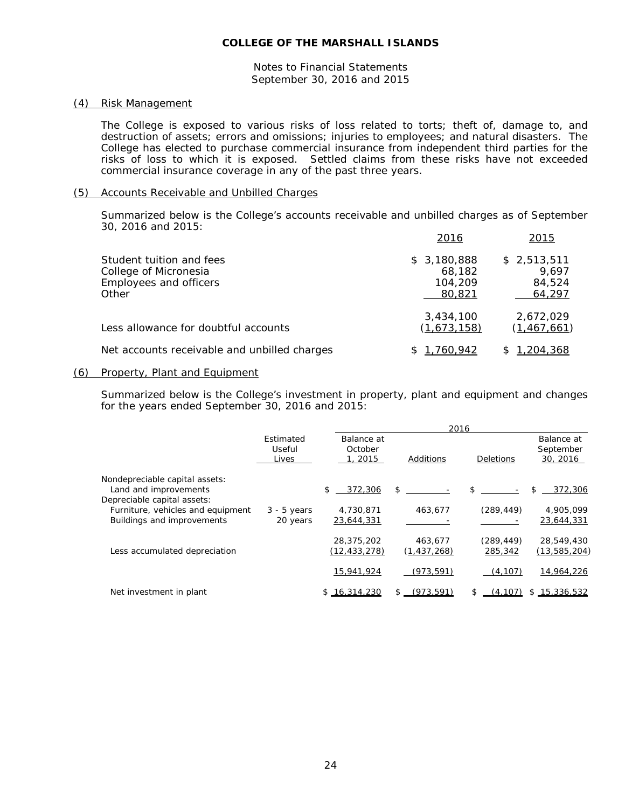#### Notes to Financial Statements September 30, 2016 and 2015

#### (4) Risk Management

The College is exposed to various risks of loss related to torts; theft of, damage to, and destruction of assets; errors and omissions; injuries to employees; and natural disasters. The College has elected to purchase commercial insurance from independent third parties for the risks of loss to which it is exposed. Settled claims from these risks have not exceeded commercial insurance coverage in any of the past three years.

#### (5) Accounts Receivable and Unbilled Charges

Summarized below is the College's accounts receivable and unbilled charges as of September 30, 2016 and 2015:

|                                                                                      | 2016                                       | 2015                                     |
|--------------------------------------------------------------------------------------|--------------------------------------------|------------------------------------------|
| Student tuition and fees<br>College of Micronesia<br>Employees and officers<br>Other | \$3,180,888<br>68,182<br>104,209<br>80,821 | \$2,513,511<br>9.697<br>84,524<br>64,297 |
| Less allowance for doubtful accounts                                                 | 3,434,100<br>(1,673,158)                   | 2,672,029<br>(1, 467, 661)               |
| Net accounts receivable and unbilled charges                                         | <u>1,760,942</u>                           | \$1,204,368                              |

# (6) Property, Plant and Equipment

Summarized below is the College's investment in property, plant and equipment and changes for the years ended September 30, 2016 and 2015:

|                                                                                        |                     |                       | 2016          |                  |                         |
|----------------------------------------------------------------------------------------|---------------------|-----------------------|---------------|------------------|-------------------------|
|                                                                                        | Estimated<br>Useful | Balance at<br>October |               |                  | Balance at<br>September |
|                                                                                        | Lives               | 1, 2015               | Additions     | <b>Deletions</b> | 30, 2016                |
| Nondepreciable capital assets:<br>Land and improvements<br>Depreciable capital assets: |                     | 372,306<br>\$         | \$            | \$               | 372,306<br>\$           |
| Furniture, vehicles and equipment                                                      | $3 - 5$ years       | 4,730,871             | 463,677       | (289, 449)       | 4,905,099               |
| Buildings and improvements                                                             | 20 years            | 23,644,331            |               |                  | 23,644,331              |
|                                                                                        |                     | 28,375,202            | 463,677       | (289, 449)       | 28,549,430              |
| Less accumulated depreciation                                                          |                     | (12, 433, 278)        | (1, 437, 268) | 285,342          | (13, 585, 204)          |
|                                                                                        |                     | 15,941,924            | (973, 591)    | (4, 107)         | 14,964,226              |
| Net investment in plant                                                                |                     | \$16.314.230          | \$ (973.591)  | (4.107)          | \$15.336.532            |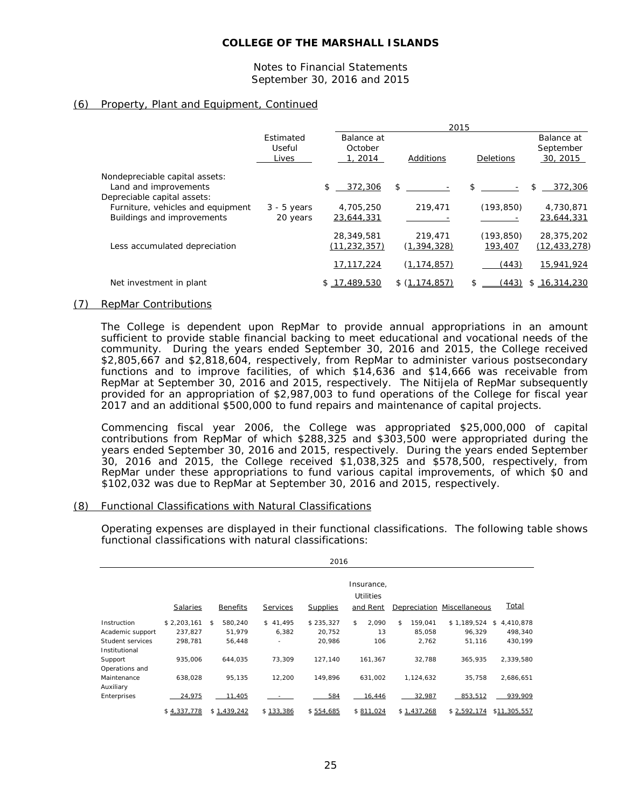Notes to Financial Statements September 30, 2016 and 2015

#### (6) Property, Plant and Equipment, Continued

|                                                                                        |                              |                                  | 2015               |                  |                                     |
|----------------------------------------------------------------------------------------|------------------------------|----------------------------------|--------------------|------------------|-------------------------------------|
|                                                                                        | Estimated<br>Useful<br>Lives | Balance at<br>October<br>1, 2014 | Additions          | <b>Deletions</b> | Balance at<br>September<br>30, 2015 |
| Nondepreciable capital assets:<br>Land and improvements<br>Depreciable capital assets: |                              | 372,306<br>\$                    | \$                 | \$               | \$<br>372,306                       |
| Furniture, vehicles and equipment                                                      | $3 - 5$ years                | 4,705,250                        | 219,471            | (193, 850)       | 4,730,871                           |
| Buildings and improvements                                                             | 20 years                     | 23,644,331                       |                    |                  | 23,644,331                          |
|                                                                                        |                              | 28,349,581                       | 219,471            | (193, 850)       | 28,375,202                          |
| Less accumulated depreciation                                                          |                              | (11, 232, 357)                   | (1, 394, 328)      | 193,407          | (12, 433, 278)                      |
|                                                                                        |                              | 17.117.224                       | (1, 174, 857)      | (443)            | 15,941,924                          |
| Net investment in plant                                                                |                              | 7.489.530<br>S.                  | .174.857)<br>\$(1) | \$<br>(443)      | \$<br>16,314,230                    |

#### (7) RepMar Contributions

The College is dependent upon RepMar to provide annual appropriations in an amount sufficient to provide stable financial backing to meet educational and vocational needs of the community. During the years ended September 30, 2016 and 2015, the College received \$2,805,667 and \$2,818,604, respectively, from RepMar to administer various postsecondary functions and to improve facilities, of which \$14,636 and \$14,666 was receivable from RepMar at September 30, 2016 and 2015, respectively. The Nitijela of RepMar subsequently provided for an appropriation of \$2,987,003 to fund operations of the College for fiscal year 2017 and an additional \$500,000 to fund repairs and maintenance of capital projects.

Commencing fiscal year 2006, the College was appropriated \$25,000,000 of capital contributions from RepMar of which \$288,325 and \$303,500 were appropriated during the years ended September 30, 2016 and 2015, respectively. During the years ended September 30, 2016 and 2015, the College received \$1,038,325 and \$578,500, respectively, from RepMar under these appropriations to fund various capital improvements, of which \$0 and \$102,032 was due to RepMar at September 30, 2016 and 2015, respectively.

#### (8) Functional Classifications with Natural Classifications

Operating expenses are displayed in their functional classifications. The following table shows functional classifications with natural classifications:

|                                   |             |                 |           | 2016            |                                            |               |               |                 |
|-----------------------------------|-------------|-----------------|-----------|-----------------|--------------------------------------------|---------------|---------------|-----------------|
|                                   | Salaries    | <b>Benefits</b> | Services  | <b>Supplies</b> | Insurance,<br><b>Utilities</b><br>and Rent | Depreciation  | Miscellaneous | Total           |
| Instruction                       | \$2,203,161 | 580.240<br>\$   | \$41.495  | \$235,327       | 2.090<br>\$                                | 159.041<br>\$ | \$1,189,524   | 4,410,878<br>\$ |
| Academic support                  | 237.827     | 51,979          | 6.382     | 20,752          | 13                                         | 85.058        | 96.329        | 498,340         |
| Student services<br>Institutional | 298,781     | 56,448          |           | 20,986          | 106                                        | 2,762         | 51,116        | 430,199         |
| Support<br>Operations and         | 935.006     | 644.035         | 73,309    | 127,140         | 161,367                                    | 32,788        | 365,935       | 2,339,580       |
| Maintenance<br>Auxiliary          | 638,028     | 95,135          | 12,200    | 149.896         | 631.002                                    | 1,124,632     | 35,758        | 2,686,651       |
| Enterprises                       | 24,975      | 11,405          |           | 584             | 16,446                                     | 32,987        | 853,512       | 939,909         |
|                                   | \$4,337,778 | \$1.439.242     | \$133.386 | \$554,685       | \$811.024                                  | \$1.437.268   | \$2,592,174   | \$11.305.557    |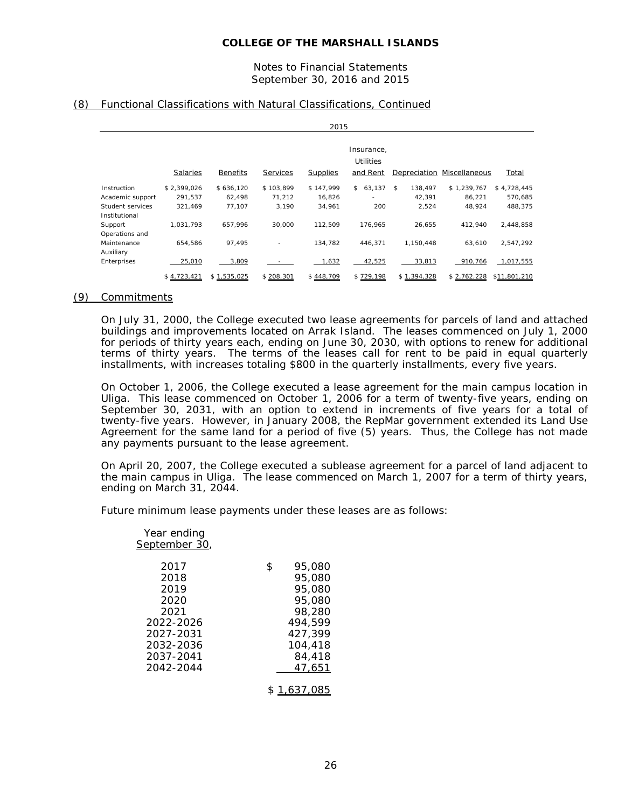Notes to Financial Statements September 30, 2016 and 2015

#### (8) Functional Classifications with Natural Classifications, Continued

|                                   |             |                 |           | 2015            |                                |               |               |              |
|-----------------------------------|-------------|-----------------|-----------|-----------------|--------------------------------|---------------|---------------|--------------|
|                                   |             |                 |           |                 | Insurance,<br><b>Utilities</b> |               |               |              |
|                                   | Salaries    | <b>Benefits</b> | Services  | <b>Supplies</b> | and Rent                       | Depreciation  | Miscellaneous | <b>Total</b> |
| Instruction                       | \$2,399,026 | \$636,120       | \$103,899 | \$147,999       | \$<br>63,137                   | 138,497<br>\$ | \$1,239,767   | \$4,728,445  |
| Academic support                  | 291.537     | 62,498          | 71,212    | 16,826          |                                | 42,391        | 86,221        | 570,685      |
| Student services<br>Institutional | 321.469     | 77,107          | 3,190     | 34,961          | 200                            | 2,524         | 48.924        | 488,375      |
| Support<br>Operations and         | 1,031,793   | 657,996         | 30,000    | 112,509         | 176.965                        | 26,655        | 412,940       | 2,448,858    |
| Maintenance<br>Auxiliary          | 654.586     | 97.495          |           | 134.782         | 446.371                        | 1.150.448     | 63.610        | 2,547,292    |
| Enterprises                       | 25,010      | 3,809           |           | 1,632           | 42,525                         | 33,813        | 910,766       | 1,017,555    |
|                                   | \$4.723.421 | \$1.535.025     | \$208.301 | \$448.709       | \$729.198                      | \$1.394.328   | \$2.762.228   | \$11,801,210 |

#### (9) Commitments

On July 31, 2000, the College executed two lease agreements for parcels of land and attached buildings and improvements located on Arrak Island. The leases commenced on July 1, 2000 for periods of thirty years each, ending on June 30, 2030, with options to renew for additional terms of thirty years. The terms of the leases call for rent to be paid in equal quarterly installments, with increases totaling \$800 in the quarterly installments, every five years.

On October 1, 2006, the College executed a lease agreement for the main campus location in Uliga. This lease commenced on October 1, 2006 for a term of twenty-five years, ending on September 30, 2031, with an option to extend in increments of five years for a total of twenty-five years. However, in January 2008, the RepMar government extended its Land Use Agreement for the same land for a period of five (5) years. Thus, the College has not made any payments pursuant to the lease agreement.

On April 20, 2007, the College executed a sublease agreement for a parcel of land adjacent to the main campus in Uliga. The lease commenced on March 1, 2007 for a term of thirty years, ending on March 31, 2044.

Future minimum lease payments under these leases are as follows:

| Year ending<br>September 30,                                                                          |                                                                                                           |
|-------------------------------------------------------------------------------------------------------|-----------------------------------------------------------------------------------------------------------|
| 2017<br>2018<br>2019<br>2020<br>2021<br>2022-2026<br>2027-2031<br>2032-2036<br>2037-2041<br>2042-2044 | 95,080<br>\$<br>95,080<br>95,080<br>95,080<br>98,280<br>494.599<br>427,399<br>104,418<br>84,418<br>47.651 |
|                                                                                                       |                                                                                                           |

\$ 1,637,085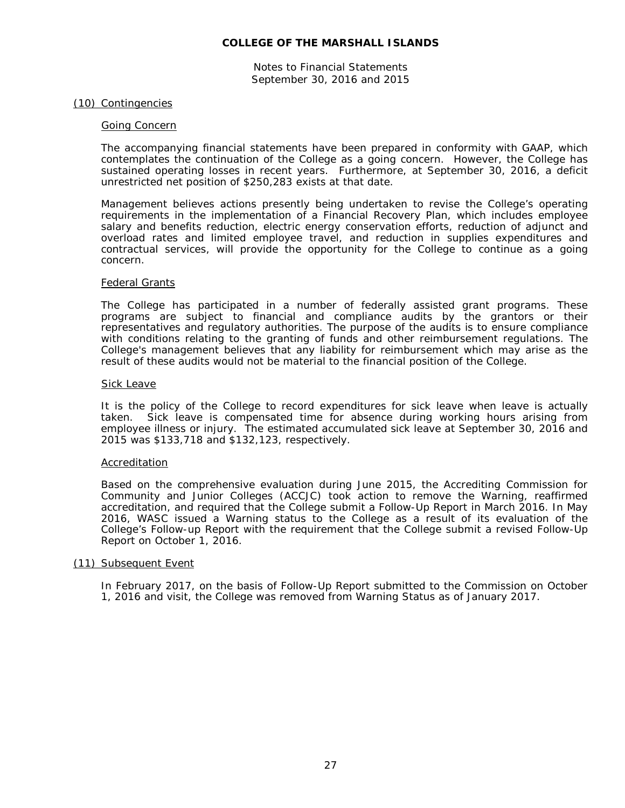Notes to Financial Statements September 30, 2016 and 2015

#### (10) Contingencies

#### Going Concern

The accompanying financial statements have been prepared in conformity with GAAP, which contemplates the continuation of the College as a going concern. However, the College has sustained operating losses in recent years. Furthermore, at September 30, 2016, a deficit unrestricted net position of \$250,283 exists at that date.

Management believes actions presently being undertaken to revise the College's operating requirements in the implementation of a Financial Recovery Plan, which includes employee salary and benefits reduction, electric energy conservation efforts, reduction of adjunct and overload rates and limited employee travel, and reduction in supplies expenditures and contractual services, will provide the opportunity for the College to continue as a going concern.

#### Federal Grants

The College has participated in a number of federally assisted grant programs. These programs are subject to financial and compliance audits by the grantors or their representatives and regulatory authorities. The purpose of the audits is to ensure compliance with conditions relating to the granting of funds and other reimbursement regulations. The College's management believes that any liability for reimbursement which may arise as the result of these audits would not be material to the financial position of the College.

#### Sick Leave

It is the policy of the College to record expenditures for sick leave when leave is actually taken. Sick leave is compensated time for absence during working hours arising from employee illness or injury. The estimated accumulated sick leave at September 30, 2016 and 2015 was \$133,718 and \$132,123, respectively.

#### Accreditation

Based on the comprehensive evaluation during June 2015, the Accrediting Commission for Community and Junior Colleges (ACCJC) took action to remove the Warning, reaffirmed accreditation, and required that the College submit a Follow-Up Report in March 2016. In May 2016, WASC issued a Warning status to the College as a result of its evaluation of the College's Follow-up Report with the requirement that the College submit a revised Follow-Up Report on October 1, 2016.

#### (11) Subsequent Event

In February 2017, on the basis of Follow-Up Report submitted to the Commission on October 1, 2016 and visit, the College was removed from Warning Status as of January 2017.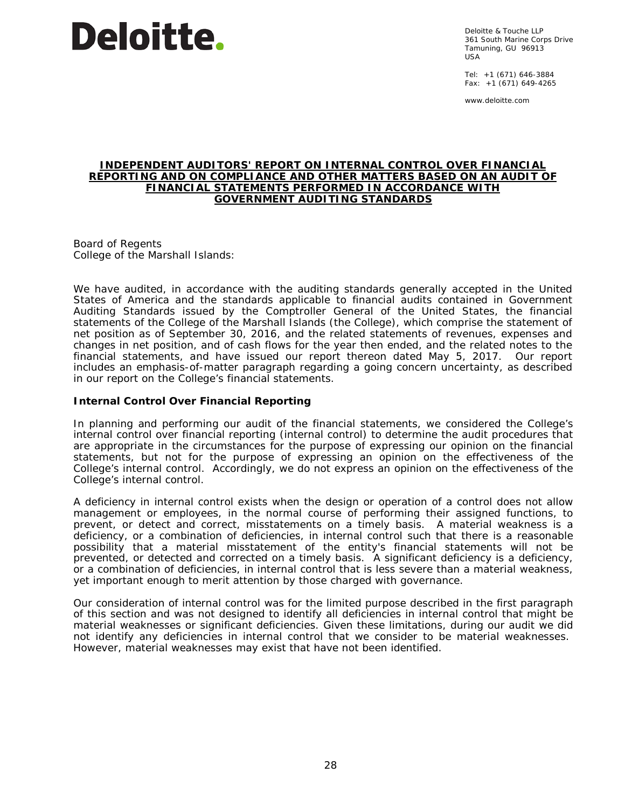# **Deloitte**.

Deloitte & Touche LLP 361 South Marine Corps Drive Tamuning, GU 96913 USA

Tel: +1 (671) 646-3884 Fax: +1 (671) 649-4265

www.deloitte.com

#### **INDEPENDENT AUDITORS' REPORT ON INTERNAL CONTROL OVER FINANCIAL REPORTING AND ON COMPLIANCE AND OTHER MATTERS BASED ON AN AUDIT OF FINANCIAL STATEMENTS PERFORMED IN ACCORDANCE WITH**  *GOVERNMENT AUDITING STANDARDS*

Board of Regents College of the Marshall Islands:

We have audited, in accordance with the auditing standards generally accepted in the United States of America and the standards applicable to financial audits contained in *Government Auditing Standards* issued by the Comptroller General of the United States, the financial statements of the College of the Marshall Islands (the College), which comprise the statement of net position as of September 30, 2016, and the related statements of revenues, expenses and changes in net position, and of cash flows for the year then ended, and the related notes to the financial statements, and have issued our report thereon dated May 5, 2017. Our report includes an emphasis-of-matter paragraph regarding a going concern uncertainty, as described in our report on the College's financial statements.

# **Internal Control Over Financial Reporting**

In planning and performing our audit of the financial statements, we considered the College's internal control over financial reporting (internal control) to determine the audit procedures that are appropriate in the circumstances for the purpose of expressing our opinion on the financial statements, but not for the purpose of expressing an opinion on the effectiveness of the College's internal control. Accordingly, we do not express an opinion on the effectiveness of the College's internal control.

A *deficiency in internal control* exists when the design or operation of a control does not allow management or employees, in the normal course of performing their assigned functions, to prevent, or detect and correct, misstatements on a timely basis. A *material weakness* is a deficiency, or a combination of deficiencies, in internal control such that there is a reasonable possibility that a material misstatement of the entity's financial statements will not be prevented, or detected and corrected on a timely basis. A *significant deficiency* is a deficiency, or a combination of deficiencies, in internal control that is less severe than a material weakness, yet important enough to merit attention by those charged with governance.

Our consideration of internal control was for the limited purpose described in the first paragraph of this section and was not designed to identify all deficiencies in internal control that might be material weaknesses or significant deficiencies. Given these limitations, during our audit we did not identify any deficiencies in internal control that we consider to be material weaknesses. However, material weaknesses may exist that have not been identified.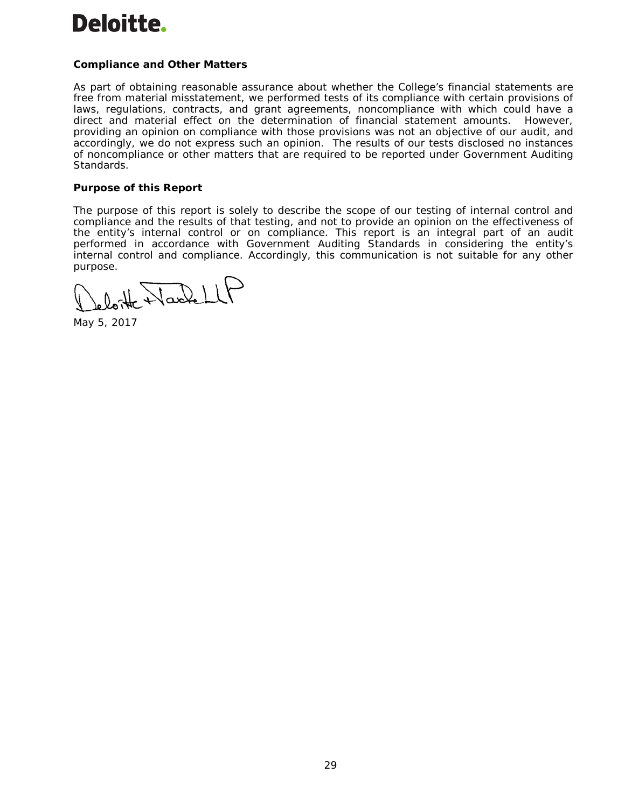# **Deloitte.**

# **Compliance and Other Matters**

As part of obtaining reasonable assurance about whether the College's financial statements are free from material misstatement, we performed tests of its compliance with certain provisions of laws, regulations, contracts, and grant agreements, noncompliance with which could have a direct and material effect on the determination of financial statement amounts. However, providing an opinion on compliance with those provisions was not an objective of our audit, and accordingly, we do not express such an opinion. The results of our tests disclosed no instances of noncompliance or other matters that are required to be reported under *Government Auditing Standards*.

# **Purpose of this Report**

The purpose of this report is solely to describe the scope of our testing of internal control and compliance and the results of that testing, and not to provide an opinion on the effectiveness of the entity's internal control or on compliance. This report is an integral part of an audit performed in accordance with *Government Auditing Standards* in considering the entity's internal control and compliance. Accordingly, this communication is not suitable for any other purpose.

H Warkell

May 5, 2017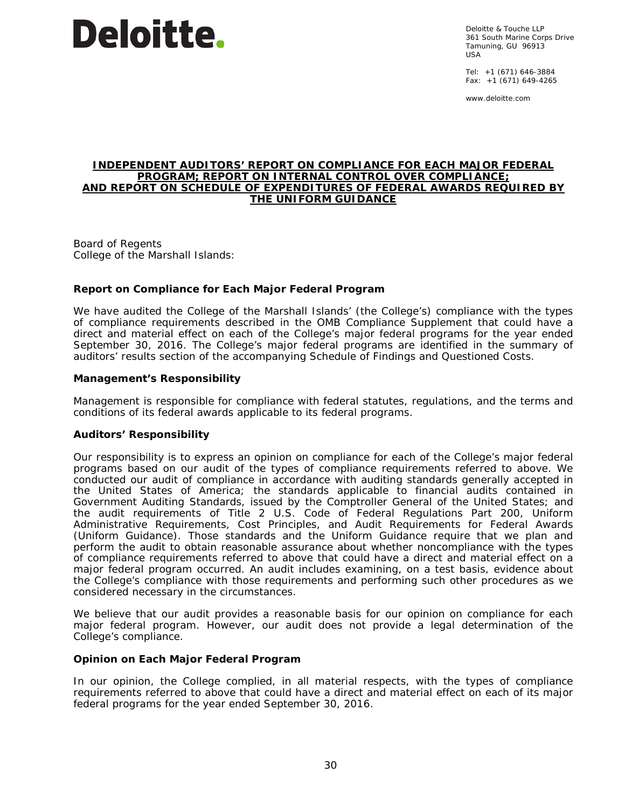

Deloitte & Touche LLP 361 South Marine Corps Drive Tamuning, GU 96913 USA

Tel: +1 (671) 646-3884 Fax: +1 (671) 649-4265

www.deloitte.com

#### **INDEPENDENT AUDITORS' REPORT ON COMPLIANCE FOR EACH MAJOR FEDERAL PROGRAM; REPORT ON INTERNAL CONTROL OVER COMPLIANCE; AND REPORT ON SCHEDULE OF EXPENDITURES OF FEDERAL AWARDS REQUIRED BY THE UNIFORM GUIDANCE**

Board of Regents College of the Marshall Islands:

# **Report on Compliance for Each Major Federal Program**

We have audited the College of the Marshall Islands' (the College's) compliance with the types of compliance requirements described in the *OMB Compliance Supplement* that could have a direct and material effect on each of the College's major federal programs for the year ended September 30, 2016. The College's major federal programs are identified in the summary of auditors' results section of the accompanying Schedule of Findings and Questioned Costs.

#### *Management's Responsibility*

Management is responsible for compliance with federal statutes, regulations, and the terms and conditions of its federal awards applicable to its federal programs.

#### *Auditors' Responsibility*

Our responsibility is to express an opinion on compliance for each of the College's major federal programs based on our audit of the types of compliance requirements referred to above. We conducted our audit of compliance in accordance with auditing standards generally accepted in the United States of America; the standards applicable to financial audits contained in *Government Auditing Standards*, issued by the Comptroller General of the United States; and the audit requirements of Title 2 U.S. *Code of Federal Regulations* Part 200, *Uniform Administrative Requirements, Cost Principles, and Audit Requirements for Federal Awards* (Uniform Guidance). Those standards and the Uniform Guidance require that we plan and perform the audit to obtain reasonable assurance about whether noncompliance with the types of compliance requirements referred to above that could have a direct and material effect on a major federal program occurred. An audit includes examining, on a test basis, evidence about the College's compliance with those requirements and performing such other procedures as we considered necessary in the circumstances.

We believe that our audit provides a reasonable basis for our opinion on compliance for each major federal program. However, our audit does not provide a legal determination of the College's compliance.

#### *Opinion on Each Major Federal Program*

In our opinion, the College complied, in all material respects, with the types of compliance requirements referred to above that could have a direct and material effect on each of its major federal programs for the year ended September 30, 2016.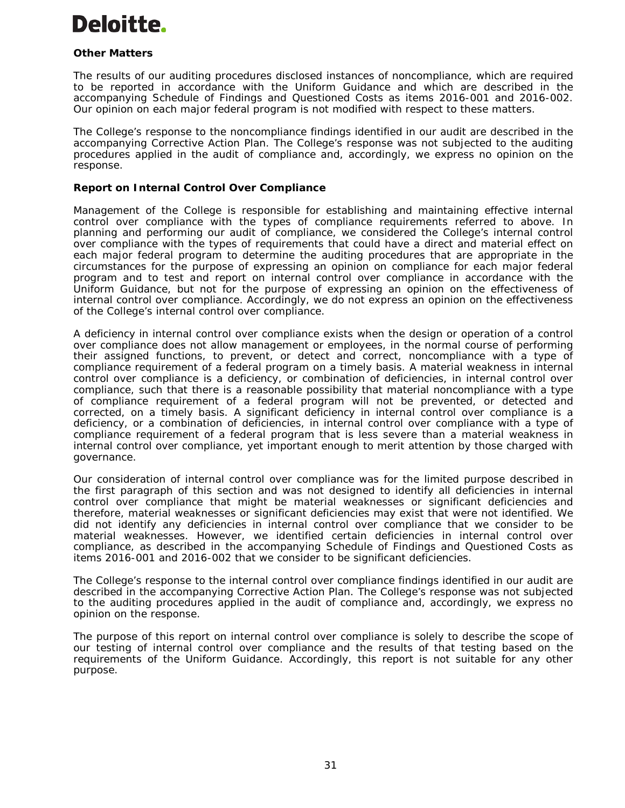# Deloitte.

# *Other Matters*

The results of our auditing procedures disclosed instances of noncompliance, which are required to be reported in accordance with the Uniform Guidance and which are described in the accompanying Schedule of Findings and Questioned Costs as items 2016-001 and 2016-002. Our opinion on each major federal program is not modified with respect to these matters.

The College's response to the noncompliance findings identified in our audit are described in the accompanying Corrective Action Plan. The College's response was not subjected to the auditing procedures applied in the audit of compliance and, accordingly, we express no opinion on the response.

# **Report on Internal Control Over Compliance**

Management of the College is responsible for establishing and maintaining effective internal control over compliance with the types of compliance requirements referred to above. In planning and performing our audit of compliance, we considered the College's internal control over compliance with the types of requirements that could have a direct and material effect on each major federal program to determine the auditing procedures that are appropriate in the circumstances for the purpose of expressing an opinion on compliance for each major federal program and to test and report on internal control over compliance in accordance with the Uniform Guidance, but not for the purpose of expressing an opinion on the effectiveness of internal control over compliance. Accordingly, we do not express an opinion on the effectiveness of the College's internal control over compliance.

A *deficiency in internal control over compliance* exists when the design or operation of a control over compliance does not allow management or employees, in the normal course of performing their assigned functions, to prevent, or detect and correct, noncompliance with a type of compliance requirement of a federal program on a timely basis. A *material weakness in internal control over compliance* is a deficiency, or combination of deficiencies, in internal control over compliance, such that there is a reasonable possibility that material noncompliance with a type of compliance requirement of a federal program will not be prevented, or detected and corrected, on a timely basis. A *significant deficiency in internal control over compliance* is a deficiency, or a combination of deficiencies, in internal control over compliance with a type of compliance requirement of a federal program that is less severe than a material weakness in internal control over compliance, yet important enough to merit attention by those charged with governance.

Our consideration of internal control over compliance was for the limited purpose described in the first paragraph of this section and was not designed to identify all deficiencies in internal control over compliance that might be material weaknesses or significant deficiencies and therefore, material weaknesses or significant deficiencies may exist that were not identified. We did not identify any deficiencies in internal control over compliance that we consider to be material weaknesses. However, we identified certain deficiencies in internal control over compliance, as described in the accompanying Schedule of Findings and Questioned Costs as items 2016-001 and 2016-002 that we consider to be significant deficiencies.

The College's response to the internal control over compliance findings identified in our audit are described in the accompanying Corrective Action Plan. The College's response was not subjected to the auditing procedures applied in the audit of compliance and, accordingly, we express no opinion on the response.

The purpose of this report on internal control over compliance is solely to describe the scope of our testing of internal control over compliance and the results of that testing based on the requirements of the Uniform Guidance. Accordingly, this report is not suitable for any other purpose.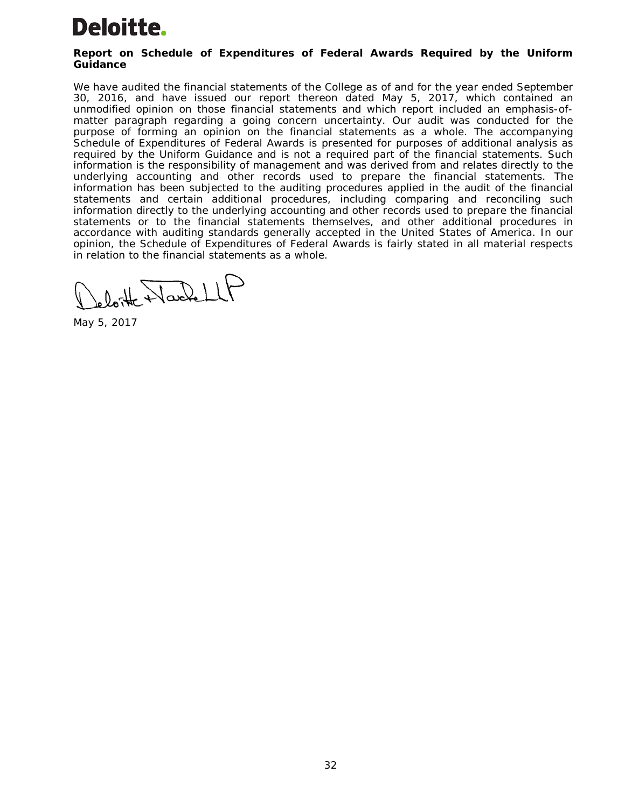# Deloitte.

# **Report on Schedule of Expenditures of Federal Awards Required by the Uniform Guidance**

We have audited the financial statements of the College as of and for the year ended September 30, 2016, and have issued our report thereon dated May 5, 2017, which contained an unmodified opinion on those financial statements and which report included an emphasis-ofmatter paragraph regarding a going concern uncertainty. Our audit was conducted for the purpose of forming an opinion on the financial statements as a whole. The accompanying Schedule of Expenditures of Federal Awards is presented for purposes of additional analysis as required by the Uniform Guidance and is not a required part of the financial statements. Such information is the responsibility of management and was derived from and relates directly to the underlying accounting and other records used to prepare the financial statements. The information has been subjected to the auditing procedures applied in the audit of the financial statements and certain additional procedures, including comparing and reconciling such information directly to the underlying accounting and other records used to prepare the financial statements or to the financial statements themselves, and other additional procedures in accordance with auditing standards generally accepted in the United States of America. In our opinion, the Schedule of Expenditures of Federal Awards is fairly stated in all material respects in relation to the financial statements as a whole.

lotte Harlell

May 5, 2017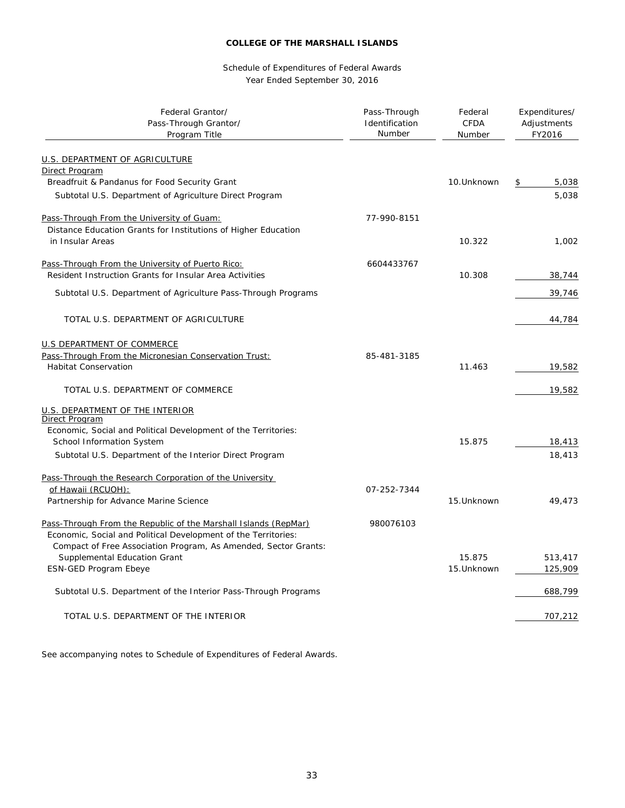# Schedule of Expenditures of Federal Awards Year Ended September 30, 2016

| Federal Grantor/<br>Pass-Through<br>Pass-Through Grantor/<br>Identification<br>Number<br>Program Title |             | Federal<br><b>CFDA</b><br>Number | Expenditures/<br>Adjustments<br>FY2016 |  |
|--------------------------------------------------------------------------------------------------------|-------------|----------------------------------|----------------------------------------|--|
| U.S. DEPARTMENT OF AGRICULTURE                                                                         |             |                                  |                                        |  |
| Direct Program                                                                                         |             |                                  |                                        |  |
| Breadfruit & Pandanus for Food Security Grant                                                          |             | 10. Unknown                      | \$<br>5,038                            |  |
| Subtotal U.S. Department of Agriculture Direct Program                                                 |             |                                  | 5,038                                  |  |
| Pass-Through From the University of Guam:                                                              | 77-990-8151 |                                  |                                        |  |
| Distance Education Grants for Institutions of Higher Education                                         |             |                                  |                                        |  |
| in Insular Areas                                                                                       |             | 10.322                           | 1,002                                  |  |
| Pass-Through From the University of Puerto Rico:                                                       | 6604433767  |                                  |                                        |  |
| Resident Instruction Grants for Insular Area Activities                                                |             | 10.308                           | 38,744                                 |  |
| Subtotal U.S. Department of Agriculture Pass-Through Programs                                          |             |                                  | 39,746                                 |  |
| TOTAL U.S. DEPARTMENT OF AGRICULTURE                                                                   |             |                                  | 44,784                                 |  |
| U.S DEPARTMENT OF COMMERCE                                                                             |             |                                  |                                        |  |
| Pass-Through From the Micronesian Conservation Trust:<br><b>Habitat Conservation</b>                   | 85-481-3185 | 11.463                           | 19,582                                 |  |
|                                                                                                        |             |                                  |                                        |  |
| TOTAL U.S. DEPARTMENT OF COMMERCE                                                                      |             |                                  | 19,582                                 |  |
| U.S. DEPARTMENT OF THE INTERIOR<br>Direct Program                                                      |             |                                  |                                        |  |
| Economic, Social and Political Development of the Territories:                                         |             |                                  |                                        |  |
| School Information System                                                                              |             | 15.875                           | 18,413                                 |  |
| Subtotal U.S. Department of the Interior Direct Program                                                |             |                                  | 18,413                                 |  |
| Pass-Through the Research Corporation of the University                                                |             |                                  |                                        |  |
| of Hawaii (RCUOH):                                                                                     | 07-252-7344 |                                  |                                        |  |
| Partnership for Advance Marine Science                                                                 |             | 15. Unknown                      | 49,473                                 |  |
| <b>Pass-Through From the Republic of the Marshall Islands (RepMar)</b>                                 | 980076103   |                                  |                                        |  |
| Economic, Social and Political Development of the Territories:                                         |             |                                  |                                        |  |
| Compact of Free Association Program, As Amended, Sector Grants:                                        |             |                                  |                                        |  |
| Supplemental Education Grant                                                                           |             | 15.875<br>15. Unknown            | 513,417<br>125,909                     |  |
| <b>ESN-GED Program Ebeye</b>                                                                           |             |                                  |                                        |  |
| Subtotal U.S. Department of the Interior Pass-Through Programs                                         |             |                                  | 688,799                                |  |
| TOTAL U.S. DEPARTMENT OF THE INTERIOR                                                                  |             |                                  | 707,212                                |  |

See accompanying notes to Schedule of Expenditures of Federal Awards.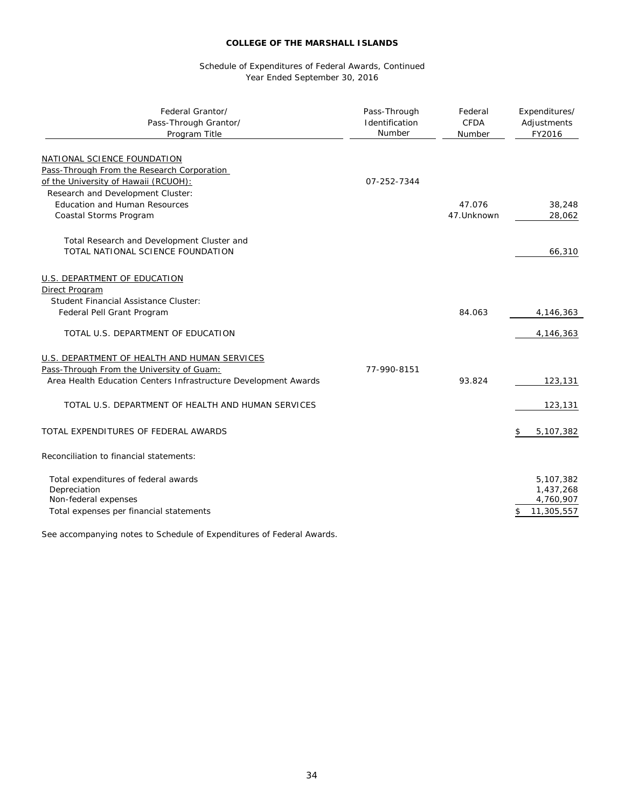#### Schedule of Expenditures of Federal Awards, Continued Year Ended September 30, 2016

| Federal Grantor/<br>Pass-Through Grantor/<br>Program Title                                                              | Pass-Through<br>Identification<br>Number | Federal<br><b>CFDA</b><br>Number | Expenditures/<br>Adjustments<br>FY2016            |
|-------------------------------------------------------------------------------------------------------------------------|------------------------------------------|----------------------------------|---------------------------------------------------|
| NATIONAL SCIENCE FOUNDATION<br>Pass-Through From the Research Corporation<br>of the University of Hawaii (RCUOH):       | 07-252-7344                              |                                  |                                                   |
| Research and Development Cluster:                                                                                       |                                          |                                  |                                                   |
| <b>Education and Human Resources</b>                                                                                    |                                          | 47.076                           | 38,248                                            |
| Coastal Storms Program                                                                                                  |                                          | 47.Unknown                       | 28,062                                            |
| Total Research and Development Cluster and<br>TOTAL NATIONAL SCIENCE FOUNDATION                                         |                                          |                                  | 66,310                                            |
| U.S. DEPARTMENT OF EDUCATION<br>Direct Program<br>Student Financial Assistance Cluster:                                 |                                          |                                  |                                                   |
| Federal Pell Grant Program                                                                                              |                                          | 84.063                           | 4,146,363                                         |
| TOTAL U.S. DEPARTMENT OF EDUCATION                                                                                      |                                          |                                  | 4,146,363                                         |
| U.S. DEPARTMENT OF HEALTH AND HUMAN SERVICES<br>Pass-Through From the University of Guam:                               | 77-990-8151                              |                                  |                                                   |
| Area Health Education Centers Infrastructure Development Awards                                                         |                                          | 93.824                           | 123,131                                           |
| TOTAL U.S. DEPARTMENT OF HEALTH AND HUMAN SERVICES                                                                      |                                          |                                  | 123,131                                           |
| TOTAL EXPENDITURES OF FEDERAL AWARDS                                                                                    |                                          |                                  | 5,107,382<br>\$                                   |
| Reconciliation to financial statements:                                                                                 |                                          |                                  |                                                   |
| Total expenditures of federal awards<br>Depreciation<br>Non-federal expenses<br>Total expenses per financial statements |                                          |                                  | 5,107,382<br>1,437,268<br>4,760,907<br>11,305,557 |

See accompanying notes to Schedule of Expenditures of Federal Awards.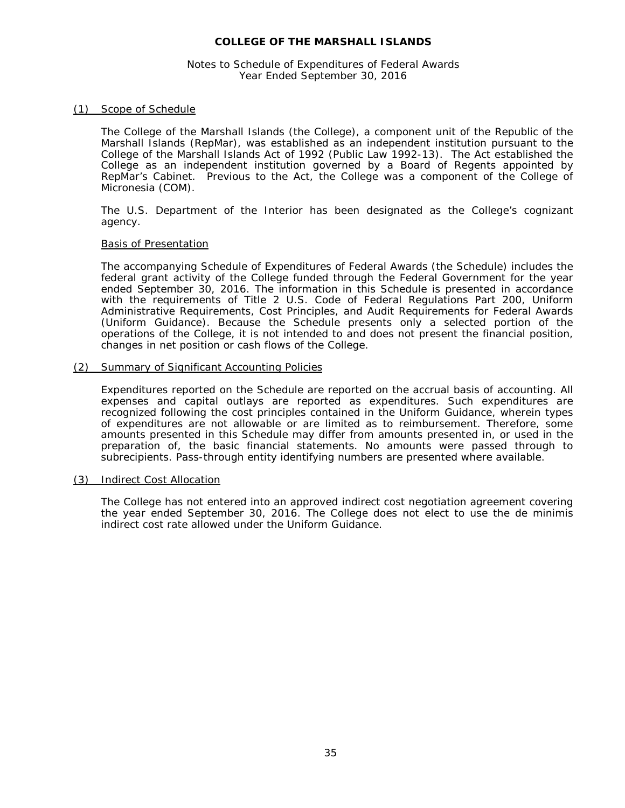#### Notes to Schedule of Expenditures of Federal Awards Year Ended September 30, 2016

#### (1) Scope of Schedule

The College of the Marshall Islands (the College), a component unit of the Republic of the Marshall Islands (RepMar), was established as an independent institution pursuant to the College of the Marshall Islands Act of 1992 (Public Law 1992-13). The Act established the College as an independent institution governed by a Board of Regents appointed by RepMar's Cabinet. Previous to the Act, the College was a component of the College of Micronesia (COM).

The U.S. Department of the Interior has been designated as the College's cognizant agency.

#### Basis of Presentation

The accompanying Schedule of Expenditures of Federal Awards (the Schedule) includes the federal grant activity of the College funded through the Federal Government for the year ended September 30, 2016. The information in this Schedule is presented in accordance with the requirements of Title 2 U.S. Code of Federal Regulations Part 200, *Uniform Administrative Requirements, Cost Principles, and Audit Requirements for Federal Awards (Uniform Guidance)*. Because the Schedule presents only a selected portion of the operations of the College, it is not intended to and does not present the financial position, changes in net position or cash flows of the College.

#### (2) Summary of Significant Accounting Policies

Expenditures reported on the Schedule are reported on the accrual basis of accounting. All expenses and capital outlays are reported as expenditures. Such expenditures are recognized following the cost principles contained in the Uniform Guidance, wherein types of expenditures are not allowable or are limited as to reimbursement. Therefore, some amounts presented in this Schedule may differ from amounts presented in, or used in the preparation of, the basic financial statements. No amounts were passed through to subrecipients. Pass-through entity identifying numbers are presented where available.

#### (3) Indirect Cost Allocation

The College has not entered into an approved indirect cost negotiation agreement covering the year ended September 30, 2016. The College does not elect to use the de minimis indirect cost rate allowed under the Uniform Guidance.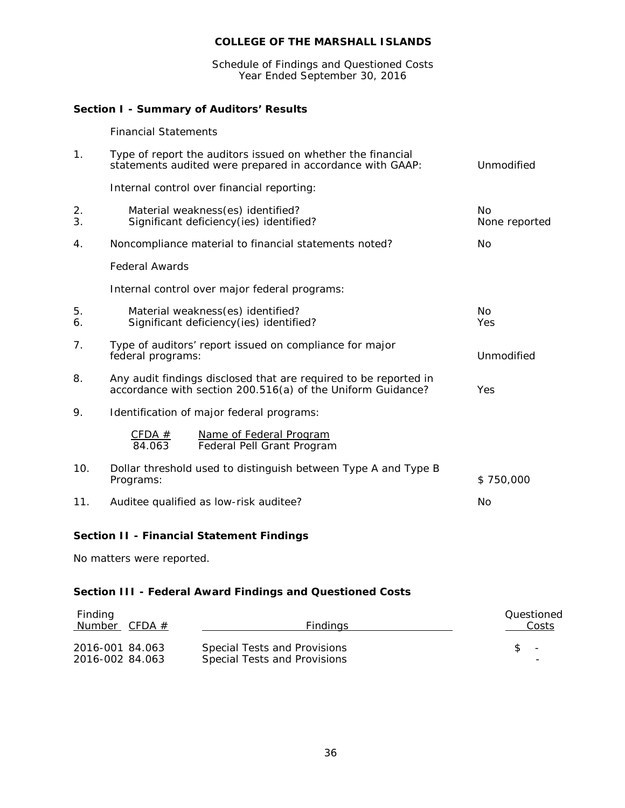Schedule of Findings and Questioned Costs Year Ended September 30, 2016

# **Section I - Summary of Auditors' Results**

# *Financial Statements*

| 1.             | Type of report the auditors issued on whether the financial<br>statements audited were prepared in accordance with GAAP:               | Unmodified                      |  |  |  |
|----------------|----------------------------------------------------------------------------------------------------------------------------------------|---------------------------------|--|--|--|
|                | Internal control over financial reporting:                                                                                             |                                 |  |  |  |
| 2.<br>3.       | Material weakness(es) identified?<br>Significant deficiency(ies) identified?                                                           | N <sub>O</sub><br>None reported |  |  |  |
| 4.             | Noncompliance material to financial statements noted?                                                                                  | No                              |  |  |  |
|                | <b>Federal Awards</b>                                                                                                                  |                                 |  |  |  |
|                | Internal control over major federal programs:                                                                                          |                                 |  |  |  |
| 5.<br>6.       | Material weakness(es) identified?<br>Significant deficiency(ies) identified?                                                           | No.<br>Yes                      |  |  |  |
| 7 <sub>1</sub> | Type of auditors' report issued on compliance for major<br>federal programs:                                                           | Unmodified                      |  |  |  |
| 8.             | Any audit findings disclosed that are required to be reported in<br>accordance with section 200.516(a) of the Uniform Guidance?<br>Yes |                                 |  |  |  |
| 9.             | Identification of major federal programs:                                                                                              |                                 |  |  |  |
|                | Name of Federal Program<br>CFDA#<br>Federal Pell Grant Program<br>84.063                                                               |                                 |  |  |  |
| 10.            | Dollar threshold used to distinguish between Type A and Type B<br>Programs:                                                            | \$750,000                       |  |  |  |
| 11.            | Auditee qualified as low-risk auditee?                                                                                                 | No                              |  |  |  |

# **Section II - Financial Statement Findings**

No matters were reported.

# **Section III - Federal Award Findings and Questioned Costs**

| Finding<br>Number                  | CFDA $\#$ | <b>Findings</b>                                              | Questioned<br>Costs |
|------------------------------------|-----------|--------------------------------------------------------------|---------------------|
| 2016-001 84.063<br>2016-002 84.063 |           | Special Tests and Provisions<br>Special Tests and Provisions | $\sim$<br>-         |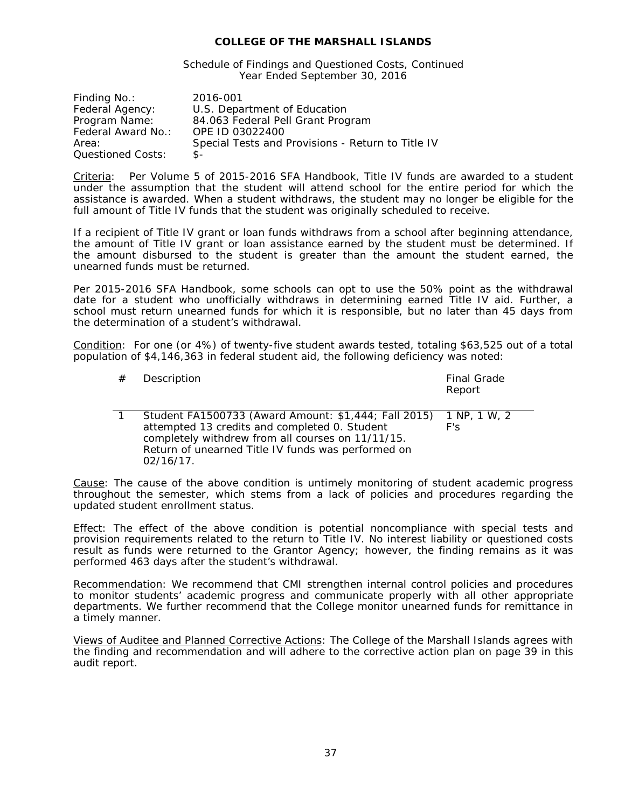Schedule of Findings and Questioned Costs, Continued Year Ended September 30, 2016

| Finding No.:       | 2016-001                                          |
|--------------------|---------------------------------------------------|
| Federal Agency:    | U.S. Department of Education                      |
| Program Name:      | 84.063 Federal Pell Grant Program                 |
| Federal Award No.: | OPE ID 03022400                                   |
| Area:              | Special Tests and Provisions - Return to Title IV |
| Questioned Costs:  | \$-                                               |

Criteria: Per Volume 5 of 2015-2016 SFA Handbook, Title IV funds are awarded to a student under the assumption that the student will attend school for the entire period for which the assistance is awarded. When a student withdraws, the student may no longer be eligible for the full amount of Title IV funds that the student was originally scheduled to receive.

If a recipient of Title IV grant or loan funds withdraws from a school after beginning attendance, the amount of Title IV grant or loan assistance earned by the student must be determined. If the amount disbursed to the student is greater than the amount the student earned, the unearned funds must be returned.

Per 2015-2016 SFA Handbook, some schools can opt to use the 50% point as the withdrawal date for a student who unofficially withdraws in determining earned Title IV aid. Further, a school must return unearned funds for which it is responsible, but no later than 45 days from the determination of a student's withdrawal.

Condition: For one (or 4%) of twenty-five student awards tested, totaling \$63,525 out of a total population of \$4,146,363 in federal student aid, the following deficiency was noted:

| Description                                                                                                                                                                                                                      | <b>Final Grade</b><br>Report |
|----------------------------------------------------------------------------------------------------------------------------------------------------------------------------------------------------------------------------------|------------------------------|
| Student FA1500733 (Award Amount: \$1,444; Fall 2015)<br>attempted 13 credits and completed 0. Student<br>completely withdrew from all courses on 11/11/15.<br>Return of unearned Title IV funds was performed on<br>$02/16/17$ . | 1 NP, 1 W, 2<br>F's          |

Cause: The cause of the above condition is untimely monitoring of student academic progress throughout the semester, which stems from a lack of policies and procedures regarding the updated student enrollment status.

Effect: The effect of the above condition is potential noncompliance with special tests and provision requirements related to the return to Title IV. No interest liability or questioned costs result as funds were returned to the Grantor Agency; however, the finding remains as it was performed 463 days after the student's withdrawal.

Recommendation: We recommend that CMI strengthen internal control policies and procedures to monitor students' academic progress and communicate properly with all other appropriate departments. We further recommend that the College monitor unearned funds for remittance in a timely manner.

Views of Auditee and Planned Corrective Actions: The College of the Marshall Islands agrees with the finding and recommendation and will adhere to the corrective action plan on page 39 in this audit report.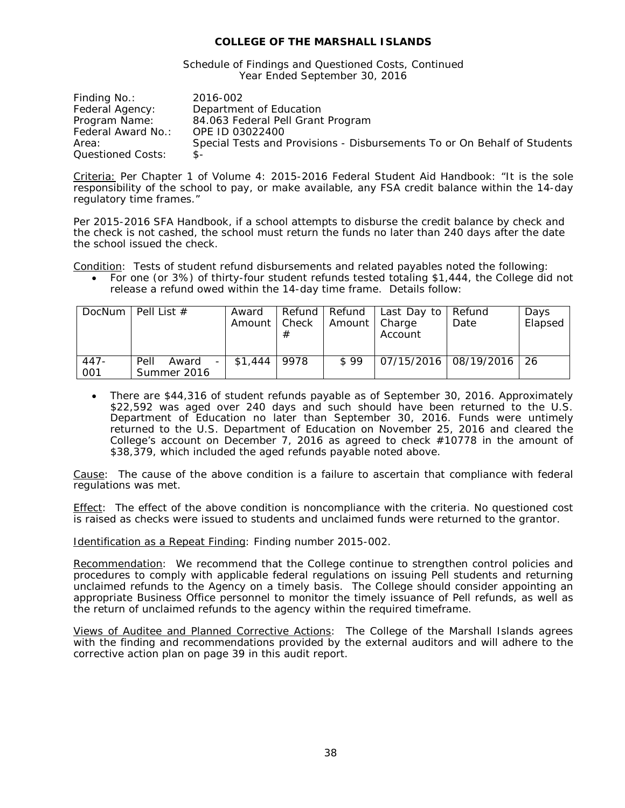Schedule of Findings and Questioned Costs, Continued Year Ended September 30, 2016

Finding No.: 2016-002 Federal Agency: Department of Education<br>Program Name: 84.063 Federal Pell Grant 84.063 Federal Pell Grant Program Federal Award No.: OPE ID 03022400 Area: Special Tests and Provisions - Disbursements To or On Behalf of Students Questioned Costs: \$-

Criteria: Per Chapter 1 of Volume 4: 2015-2016 Federal Student Aid Handbook: "It is the sole responsibility of the school to pay, or make available, any FSA credit balance within the 14-day regulatory time frames."

Per 2015-2016 SFA Handbook, if a school attempts to disburse the credit balance by check and the check is not cashed, the school must return the funds no later than 240 days after the date the school issued the check.

Condition: Tests of student refund disbursements and related payables noted the following:

• For one (or 3%) of thirty-four student refunds tested totaling \$1,444, the College did not release a refund owed within the 14-day time frame. Details follow:

| DocNum I       | Pell List $#$                                  | Award<br>Amount   Check | #    | Refund   Refund<br>Amount   Charge | Last Day to  <br>Account | Refund<br>Date               | Days<br>Elapsed |
|----------------|------------------------------------------------|-------------------------|------|------------------------------------|--------------------------|------------------------------|-----------------|
| $447 -$<br>001 | Pell<br>Award<br>$\blacksquare$<br>Summer 2016 | \$1,444                 | 9978 | \$99                               |                          | 07/15/2016   08/19/2016   26 |                 |

• There are \$44,316 of student refunds payable as of September 30, 2016. Approximately \$22,592 was aged over 240 days and such should have been returned to the U.S. Department of Education no later than September 30, 2016. Funds were untimely returned to the U.S. Department of Education on November 25, 2016 and cleared the College's account on December 7, 2016 as agreed to check #10778 in the amount of \$38,379, which included the aged refunds payable noted above.

Cause: The cause of the above condition is a failure to ascertain that compliance with federal regulations was met.

Effect: The effect of the above condition is noncompliance with the criteria. No questioned cost is raised as checks were issued to students and unclaimed funds were returned to the grantor.

Identification as a Repeat Finding: Finding number 2015-002.

Recommendation: We recommend that the College continue to strengthen control policies and procedures to comply with applicable federal regulations on issuing Pell students and returning unclaimed refunds to the Agency on a timely basis. The College should consider appointing an appropriate Business Office personnel to monitor the timely issuance of Pell refunds, as well as the return of unclaimed refunds to the agency within the required timeframe.

Views of Auditee and Planned Corrective Actions: The College of the Marshall Islands agrees with the finding and recommendations provided by the external auditors and will adhere to the corrective action plan on page 39 in this audit report.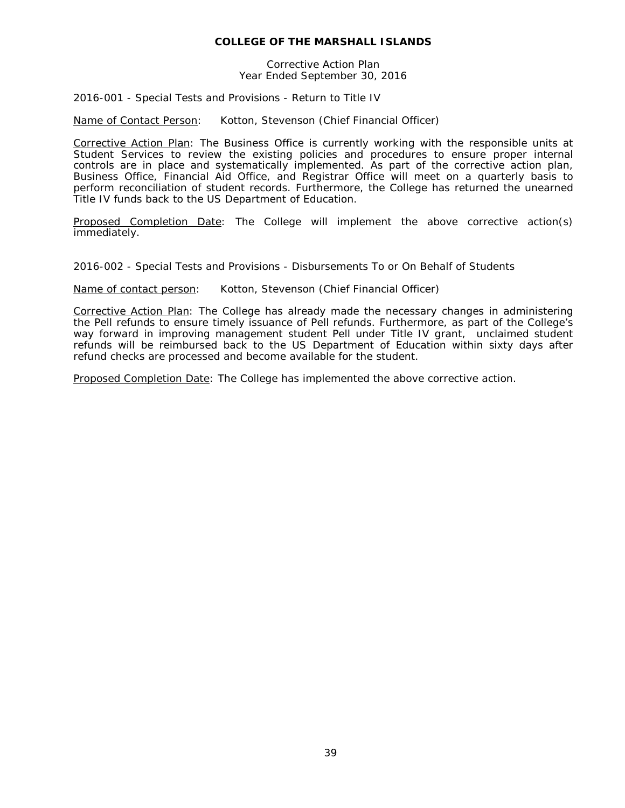#### Corrective Action Plan Year Ended September 30, 2016

2016-001 - Special Tests and Provisions - Return to Title IV

Name of Contact Person: Kotton, Stevenson (Chief Financial Officer)

Corrective Action Plan: The Business Office is currently working with the responsible units at Student Services to review the existing policies and procedures to ensure proper internal controls are in place and systematically implemented. As part of the corrective action plan, Business Office, Financial Aid Office, and Registrar Office will meet on a quarterly basis to perform reconciliation of student records. Furthermore, the College has returned the unearned Title IV funds back to the US Department of Education.

Proposed Completion Date: The College will implement the above corrective action(s) immediately.

2016-002 - Special Tests and Provisions - Disbursements To or On Behalf of Students

Name of contact person: Kotton, Stevenson (Chief Financial Officer)

Corrective Action Plan: The College has already made the necessary changes in administering the Pell refunds to ensure timely issuance of Pell refunds. Furthermore, as part of the College's way forward in improving management student Pell under Title IV grant, unclaimed student refunds will be reimbursed back to the US Department of Education within sixty days after refund checks are processed and become available for the student.

Proposed Completion Date: The College has implemented the above corrective action.